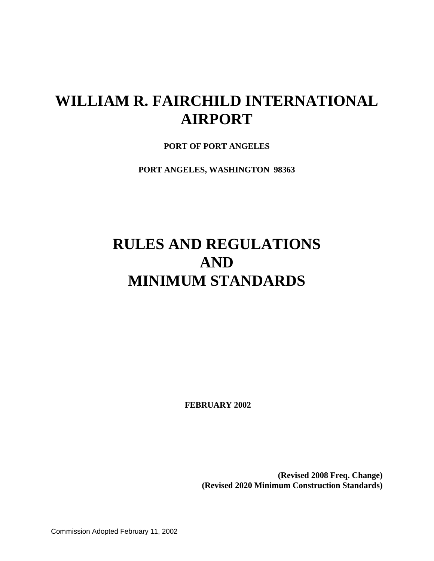# **WILLIAM R. FAIRCHILD INTERNATIONAL AIRPORT**

**PORT OF PORT ANGELES**

**PORT ANGELES, WASHINGTON 98363** 

# **RULES AND REGULATIONS AND MINIMUM STANDARDS**

**FEBRUARY 2002**

**(Revised 2008 Freq. Change) (Revised 2020 Minimum Construction Standards)**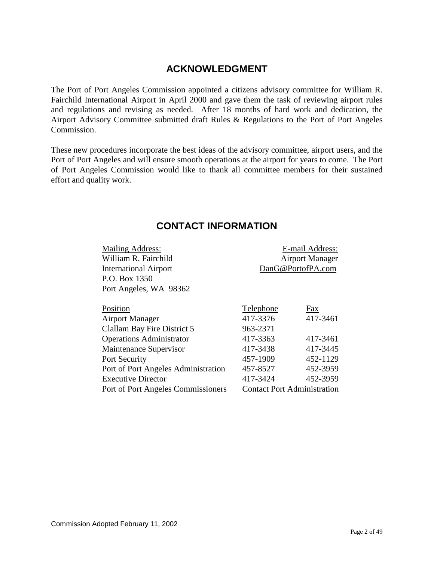# **ACKNOWLEDGMENT**

<span id="page-1-0"></span>The Port of Port Angeles Commission appointed a citizens advisory committee for William R. Fairchild International Airport in April 2000 and gave them the task of reviewing airport rules and regulations and revising as needed. After 18 months of hard work and dedication, the Airport Advisory Committee submitted draft Rules & Regulations to the Port of Port Angeles Commission.

These new procedures incorporate the best ideas of the advisory committee, airport users, and the Port of Port Angeles and will ensure smooth operations at the airport for years to come. The Port of Port Angeles Commission would like to thank all committee members for their sustained effort and quality work.

## **CONTACT INFORMATION**

<span id="page-1-1"></span>

| <b>Mailing Address:</b><br>William R. Fairchild<br><b>International Airport</b><br>P.O. Box 1350<br>Port Angeles, WA 98362 | DanG@PortofPA.com                  | E-mail Address:<br><b>Airport Manager</b> |
|----------------------------------------------------------------------------------------------------------------------------|------------------------------------|-------------------------------------------|
| Position                                                                                                                   | Telephone                          | Fax                                       |
| <b>Airport Manager</b>                                                                                                     | 417-3376                           | 417-3461                                  |
| Clallam Bay Fire District 5                                                                                                | 963-2371                           |                                           |
| <b>Operations Administrator</b>                                                                                            | 417-3363                           | 417-3461                                  |
| Maintenance Supervisor                                                                                                     | 417-3438                           | 417-3445                                  |
| Port Security                                                                                                              | 457-1909                           | 452-1129                                  |
| Port of Port Angeles Administration                                                                                        | 457-8527                           | 452-3959                                  |
| <b>Executive Director</b>                                                                                                  | 417-3424                           | 452-3959                                  |
| Port of Port Angeles Commissioners                                                                                         | <b>Contact Port Administration</b> |                                           |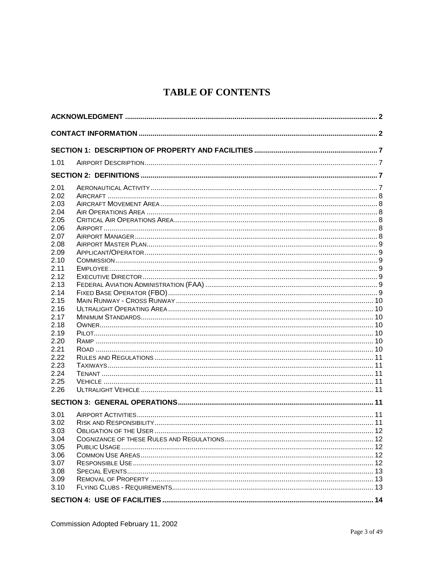# **TABLE OF CONTENTS**

| 1.01<br>2.01<br>2.02 |
|----------------------|
|                      |
|                      |
|                      |
|                      |
|                      |
|                      |
| 2.03                 |
| 2.04                 |
| 2.05                 |
| 2.06                 |
| 2.07                 |
| 2.08                 |
| 2.09                 |
| 2.10<br>2.11         |
|                      |
| 2.12<br>2.13         |
| 2.14                 |
| 2.15                 |
| 2.16                 |
| 217                  |
| 2.18                 |
| 2.19                 |
| 2.20                 |
| 2.21                 |
| 2.22                 |
| 2.23                 |
| 2.24                 |
| 2.25                 |
| 2.26                 |
|                      |
| 3.01                 |
| 3.02                 |
| 3.03                 |
| 3.04                 |
| 3.05                 |
| 3.06                 |
| 3.07                 |
| 3.08                 |
| 3.09                 |
| 3.10                 |
|                      |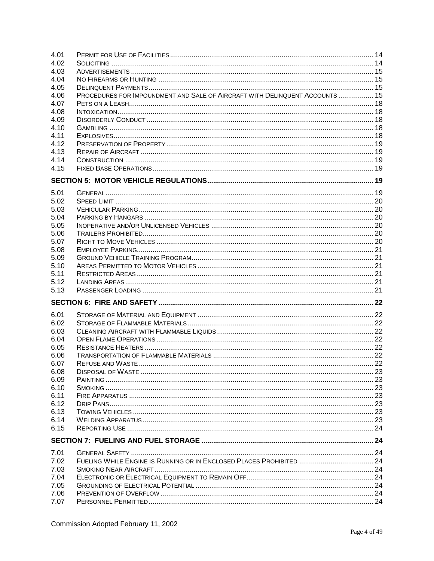| 4.01 |                                                                              |  |
|------|------------------------------------------------------------------------------|--|
| 4.02 |                                                                              |  |
| 4.03 |                                                                              |  |
| 4.04 |                                                                              |  |
| 4.05 |                                                                              |  |
| 4.06 | PROCEDURES FOR IMPOUNDMENT AND SALE OF AIRCRAFT WITH DELINQUENT ACCOUNTS  15 |  |
| 4.07 |                                                                              |  |
| 4.08 |                                                                              |  |
| 4.09 |                                                                              |  |
| 4.10 |                                                                              |  |
| 4.11 |                                                                              |  |
| 4.12 |                                                                              |  |
| 4.13 |                                                                              |  |
| 4.14 |                                                                              |  |
| 4.15 |                                                                              |  |
|      |                                                                              |  |
| 5.01 |                                                                              |  |
| 5.02 |                                                                              |  |
| 5.03 |                                                                              |  |
| 5.04 |                                                                              |  |
| 5.05 |                                                                              |  |
| 5.06 |                                                                              |  |
| 5.07 |                                                                              |  |
| 5.08 |                                                                              |  |
| 5.09 |                                                                              |  |
| 5.10 |                                                                              |  |
| 5.11 |                                                                              |  |
| 5.12 |                                                                              |  |
| 5.13 |                                                                              |  |
|      |                                                                              |  |
| 6.01 |                                                                              |  |
| 6.02 |                                                                              |  |
| 6.03 |                                                                              |  |
| 6.04 |                                                                              |  |
| 6.05 |                                                                              |  |
| 6.06 |                                                                              |  |
| 6.07 |                                                                              |  |
| 6.08 |                                                                              |  |
| 6.09 |                                                                              |  |
| 6.10 |                                                                              |  |
| 6.11 |                                                                              |  |
| 6.12 |                                                                              |  |
| 6.13 |                                                                              |  |
| 6.14 |                                                                              |  |
| 6.15 |                                                                              |  |
|      |                                                                              |  |
| 7.01 |                                                                              |  |
| 7.02 | FUELING WHILE ENGINE IS RUNNING OR IN ENCLOSED PLACES PROHIBITED  24         |  |
| 7.03 |                                                                              |  |
| 7.04 |                                                                              |  |
| 7.05 |                                                                              |  |
| 7.06 |                                                                              |  |
|      |                                                                              |  |
| 7.07 |                                                                              |  |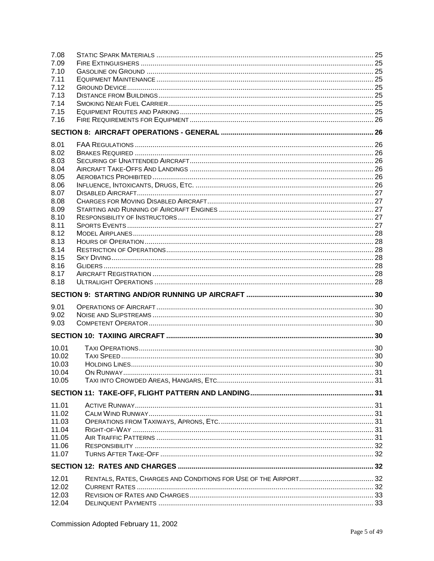| 7.08<br>7.09<br>7.10<br>7.11<br>7.12<br>7.13<br>7.14<br>7.15<br>7.16 |  |
|----------------------------------------------------------------------|--|
|                                                                      |  |
| 8.01                                                                 |  |
| 8.02                                                                 |  |
| 8.03                                                                 |  |
| 8.04                                                                 |  |
| 8.05                                                                 |  |
| 8.06                                                                 |  |
| 8.07                                                                 |  |
| 8.08                                                                 |  |
| 8.09                                                                 |  |
| 8.10                                                                 |  |
| 8.11                                                                 |  |
| 8.12                                                                 |  |
| 8.13                                                                 |  |
| 8.14                                                                 |  |
| 8.15                                                                 |  |
| 8.16<br>8.17                                                         |  |
|                                                                      |  |
| 8.18                                                                 |  |
|                                                                      |  |
| 9.01                                                                 |  |
| 9.02                                                                 |  |
| 9.03                                                                 |  |
|                                                                      |  |
| 10.01                                                                |  |
| 10.02                                                                |  |
| 10.03                                                                |  |
| 10.04                                                                |  |
| 10.05                                                                |  |
|                                                                      |  |
| 11.01                                                                |  |
| 11.02                                                                |  |
| 11.03                                                                |  |
| 11.04                                                                |  |
| 11.05                                                                |  |
| 11.06                                                                |  |
| 11.07                                                                |  |
|                                                                      |  |
|                                                                      |  |
| 12.01                                                                |  |
| 12.02                                                                |  |
| 12.03                                                                |  |
| 12.04                                                                |  |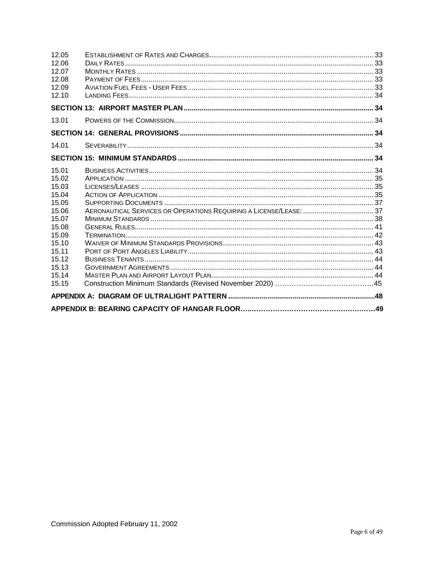| 12.05<br>12.06<br>12.07<br>12.08<br>12.09<br>12.10                                                                                  |  |
|-------------------------------------------------------------------------------------------------------------------------------------|--|
|                                                                                                                                     |  |
| 13.01                                                                                                                               |  |
|                                                                                                                                     |  |
| 14.01                                                                                                                               |  |
|                                                                                                                                     |  |
| 15.01<br>15.02<br>15.03<br>15.04<br>15.05<br>15.06<br>15.07<br>15.08<br>15.09<br>15.10<br>15.11<br>15.12<br>15.13<br>15.14<br>15.15 |  |
|                                                                                                                                     |  |
|                                                                                                                                     |  |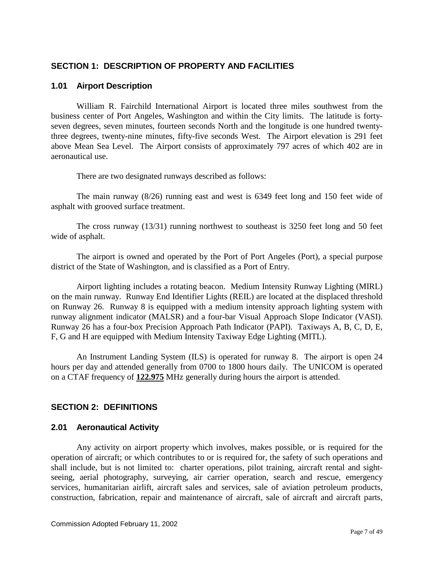## <span id="page-6-0"></span>**SECTION 1: DESCRIPTION OF PROPERTY AND FACILITIES**

## <span id="page-6-1"></span>**1.01 Airport Description**

William R. Fairchild International Airport is located three miles southwest from the business center of Port Angeles, Washington and within the City limits. The latitude is fortyseven degrees, seven minutes, fourteen seconds North and the longitude is one hundred twentythree degrees, twenty-nine minutes, fifty-five seconds West. The Airport elevation is 291 feet above Mean Sea Level. The Airport consists of approximately 797 acres of which 402 are in aeronautical use.

There are two designated runways described as follows:

The main runway (8/26) running east and west is 6349 feet long and 150 feet wide of asphalt with grooved surface treatment.

The cross runway (13/31) running northwest to southeast is 3250 feet long and 50 feet wide of asphalt.

The airport is owned and operated by the Port of Port Angeles (Port), a special purpose district of the State of Washington, and is classified as a Port of Entry.

Airport lighting includes a rotating beacon. Medium Intensity Runway Lighting (MIRL) on the main runway. Runway End Identifier Lights (REIL) are located at the displaced threshold on Runway 26. Runway 8 is equipped with a medium intensity approach lighting system with runway alignment indicator (MALSR) and a four-bar Visual Approach Slope Indicator (VASI). Runway 26 has a four-box Precision Approach Path Indicator (PAPI). Taxiways A, B, C, D, E, F, G and H are equipped with Medium Intensity Taxiway Edge Lighting (MITL).

An Instrument Landing System (ILS) is operated for runway 8. The airport is open 24 hours per day and attended generally from 0700 to 1800 hours daily. The UNICOM is operated on a CTAF frequency of **122.975** MHz generally during hours the airport is attended.

## <span id="page-6-2"></span>**SECTION 2: DEFINITIONS**

#### <span id="page-6-3"></span>**2.01 Aeronautical Activity**

Any activity on airport property which involves, makes possible, or is required for the operation of aircraft; or which contributes to or is required for, the safety of such operations and shall include, but is not limited to: charter operations, pilot training, aircraft rental and sightseeing, aerial photography, surveying, air carrier operation, search and rescue, emergency services, humanitarian airlift, aircraft sales and services, sale of aviation petroleum products, construction, fabrication, repair and maintenance of aircraft, sale of aircraft and aircraft parts,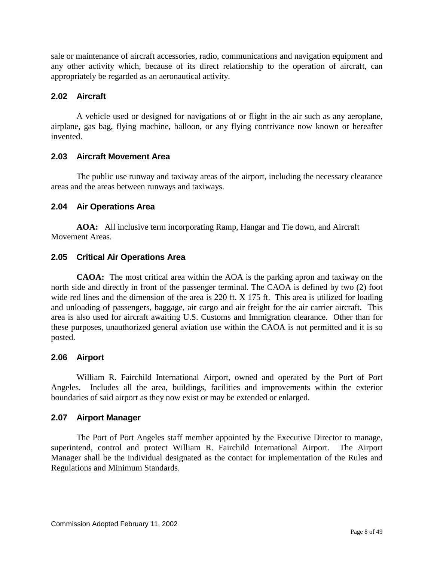sale or maintenance of aircraft accessories, radio, communications and navigation equipment and any other activity which, because of its direct relationship to the operation of aircraft, can appropriately be regarded as an aeronautical activity.

## <span id="page-7-0"></span>**2.02 Aircraft**

A vehicle used or designed for navigations of or flight in the air such as any aeroplane, airplane, gas bag, flying machine, balloon, or any flying contrivance now known or hereafter invented.

## <span id="page-7-1"></span>**2.03 Aircraft Movement Area**

The public use runway and taxiway areas of the airport, including the necessary clearance areas and the areas between runways and taxiways.

## <span id="page-7-2"></span>**2.04 Air Operations Area**

**AOA:** All inclusive term incorporating Ramp, Hangar and Tie down, and Aircraft Movement Areas.

## <span id="page-7-3"></span>**2.05 Critical Air Operations Area**

**CAOA:** The most critical area within the AOA is the parking apron and taxiway on the north side and directly in front of the passenger terminal. The CAOA is defined by two (2) foot wide red lines and the dimension of the area is 220 ft. X 175 ft. This area is utilized for loading and unloading of passengers, baggage, air cargo and air freight for the air carrier aircraft. This area is also used for aircraft awaiting U.S. Customs and Immigration clearance. Other than for these purposes, unauthorized general aviation use within the CAOA is not permitted and it is so posted.

## <span id="page-7-4"></span>**2.06 Airport**

William R. Fairchild International Airport, owned and operated by the Port of Port Angeles. Includes all the area, buildings, facilities and improvements within the exterior boundaries of said airport as they now exist or may be extended or enlarged.

## <span id="page-7-5"></span>**2.07 Airport Manager**

The Port of Port Angeles staff member appointed by the Executive Director to manage, superintend, control and protect William R. Fairchild International Airport. The Airport Manager shall be the individual designated as the contact for implementation of the Rules and Regulations and Minimum Standards.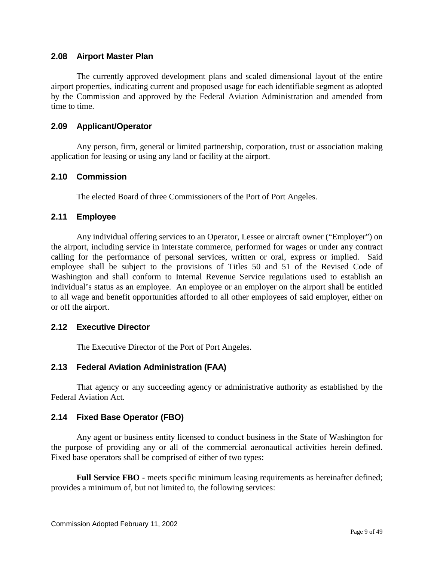## <span id="page-8-0"></span>**2.08 Airport Master Plan**

The currently approved development plans and scaled dimensional layout of the entire airport properties, indicating current and proposed usage for each identifiable segment as adopted by the Commission and approved by the Federal Aviation Administration and amended from time to time.

#### <span id="page-8-1"></span>**2.09 Applicant/Operator**

Any person, firm, general or limited partnership, corporation, trust or association making application for leasing or using any land or facility at the airport.

## <span id="page-8-2"></span>**2.10 Commission**

The elected Board of three Commissioners of the Port of Port Angeles.

## <span id="page-8-3"></span>**2.11 Employee**

Any individual offering services to an Operator, Lessee or aircraft owner ("Employer") on the airport, including service in interstate commerce, performed for wages or under any contract calling for the performance of personal services, written or oral, express or implied. Said employee shall be subject to the provisions of Titles 50 and 51 of the Revised Code of Washington and shall conform to Internal Revenue Service regulations used to establish an individual's status as an employee. An employee or an employer on the airport shall be entitled to all wage and benefit opportunities afforded to all other employees of said employer, either on or off the airport.

## <span id="page-8-4"></span>**2.12 Executive Director**

The Executive Director of the Port of Port Angeles.

## <span id="page-8-5"></span>**2.13 Federal Aviation Administration (FAA)**

That agency or any succeeding agency or administrative authority as established by the Federal Aviation Act.

## <span id="page-8-6"></span>**2.14 Fixed Base Operator (FBO)**

Any agent or business entity licensed to conduct business in the State of Washington for the purpose of providing any or all of the commercial aeronautical activities herein defined. Fixed base operators shall be comprised of either of two types:

**Full Service FBO** - meets specific minimum leasing requirements as hereinafter defined; provides a minimum of, but not limited to, the following services: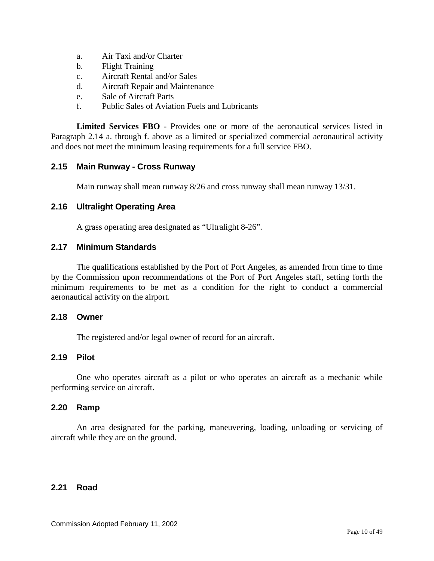- a. Air Taxi and/or Charter
- b. Flight Training
- c. Aircraft Rental and/or Sales
- d. Aircraft Repair and Maintenance
- e. Sale of Aircraft Parts
- f. Public Sales of Aviation Fuels and Lubricants

**Limited Services FBO** - Provides one or more of the aeronautical services listed in Paragraph 2.14 a. through f. above as a limited or specialized commercial aeronautical activity and does not meet the minimum leasing requirements for a full service FBO.

## <span id="page-9-0"></span>**2.15 Main Runway - Cross Runway**

Main runway shall mean runway 8/26 and cross runway shall mean runway 13/31.

## <span id="page-9-1"></span>**2.16 Ultralight Operating Area**

A grass operating area designated as "Ultralight 8-26".

#### <span id="page-9-2"></span>**2.17 Minimum Standards**

The qualifications established by the Port of Port Angeles, as amended from time to time by the Commission upon recommendations of the Port of Port Angeles staff, setting forth the minimum requirements to be met as a condition for the right to conduct a commercial aeronautical activity on the airport.

#### <span id="page-9-3"></span>**2.18 Owner**

The registered and/or legal owner of record for an aircraft.

## <span id="page-9-4"></span>**2.19 Pilot**

One who operates aircraft as a pilot or who operates an aircraft as a mechanic while performing service on aircraft.

#### <span id="page-9-5"></span>**2.20 Ramp**

An area designated for the parking, maneuvering, loading, unloading or servicing of aircraft while they are on the ground.

#### <span id="page-9-6"></span>**2.21 Road**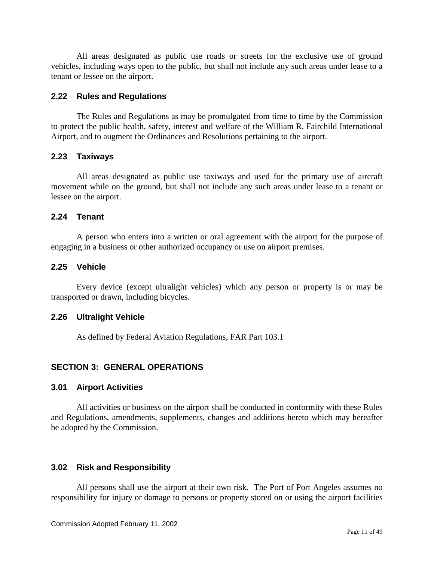All areas designated as public use roads or streets for the exclusive use of ground vehicles, including ways open to the public, but shall not include any such areas under lease to a tenant or lessee on the airport.

#### <span id="page-10-0"></span>**2.22 Rules and Regulations**

The Rules and Regulations as may be promulgated from time to time by the Commission to protect the public health, safety, interest and welfare of the William R. Fairchild International Airport, and to augment the Ordinances and Resolutions pertaining to the airport.

## <span id="page-10-1"></span>**2.23 Taxiways**

All areas designated as public use taxiways and used for the primary use of aircraft movement while on the ground, but shall not include any such areas under lease to a tenant or lessee on the airport.

## <span id="page-10-2"></span>**2.24 Tenant**

A person who enters into a written or oral agreement with the airport for the purpose of engaging in a business or other authorized occupancy or use on airport premises.

## <span id="page-10-3"></span>**2.25 Vehicle**

Every device (except ultralight vehicles) which any person or property is or may be transported or drawn, including bicycles.

#### <span id="page-10-4"></span>**2.26 Ultralight Vehicle**

As defined by Federal Aviation Regulations, FAR Part 103.1

## <span id="page-10-5"></span>**SECTION 3: GENERAL OPERATIONS**

#### <span id="page-10-6"></span>**3.01 Airport Activities**

All activities or business on the airport shall be conducted in conformity with these Rules and Regulations, amendments, supplements, changes and additions hereto which may hereafter be adopted by the Commission.

## <span id="page-10-7"></span>**3.02 Risk and Responsibility**

All persons shall use the airport at their own risk. The Port of Port Angeles assumes no responsibility for injury or damage to persons or property stored on or using the airport facilities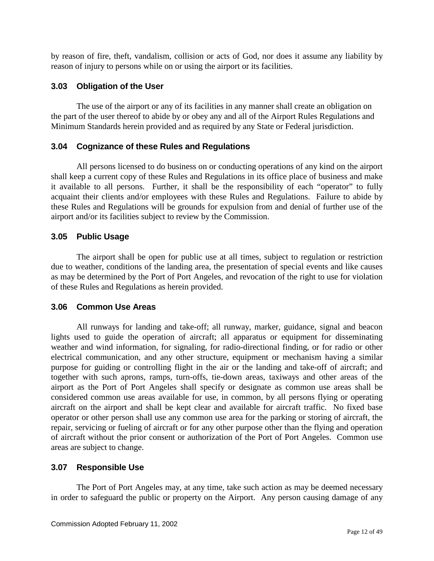by reason of fire, theft, vandalism, collision or acts of God, nor does it assume any liability by reason of injury to persons while on or using the airport or its facilities.

## <span id="page-11-0"></span>**3.03 Obligation of the User**

The use of the airport or any of its facilities in any manner shall create an obligation on the part of the user thereof to abide by or obey any and all of the Airport Rules Regulations and Minimum Standards herein provided and as required by any State or Federal jurisdiction.

## <span id="page-11-1"></span>**3.04 Cognizance of these Rules and Regulations**

All persons licensed to do business on or conducting operations of any kind on the airport shall keep a current copy of these Rules and Regulations in its office place of business and make it available to all persons. Further, it shall be the responsibility of each "operator" to fully acquaint their clients and/or employees with these Rules and Regulations. Failure to abide by these Rules and Regulations will be grounds for expulsion from and denial of further use of the airport and/or its facilities subject to review by the Commission.

## <span id="page-11-2"></span>**3.05 Public Usage**

The airport shall be open for public use at all times, subject to regulation or restriction due to weather, conditions of the landing area, the presentation of special events and like causes as may be determined by the Port of Port Angeles, and revocation of the right to use for violation of these Rules and Regulations as herein provided.

#### <span id="page-11-3"></span>**3.06 Common Use Areas**

All runways for landing and take-off; all runway, marker, guidance, signal and beacon lights used to guide the operation of aircraft; all apparatus or equipment for disseminating weather and wind information, for signaling, for radio-directional finding, or for radio or other electrical communication, and any other structure, equipment or mechanism having a similar purpose for guiding or controlling flight in the air or the landing and take-off of aircraft; and together with such aprons, ramps, turn-offs, tie-down areas, taxiways and other areas of the airport as the Port of Port Angeles shall specify or designate as common use areas shall be considered common use areas available for use, in common, by all persons flying or operating aircraft on the airport and shall be kept clear and available for aircraft traffic. No fixed base operator or other person shall use any common use area for the parking or storing of aircraft, the repair, servicing or fueling of aircraft or for any other purpose other than the flying and operation of aircraft without the prior consent or authorization of the Port of Port Angeles. Common use areas are subject to change.

#### <span id="page-11-4"></span>**3.07 Responsible Use**

The Port of Port Angeles may, at any time, take such action as may be deemed necessary in order to safeguard the public or property on the Airport. Any person causing damage of any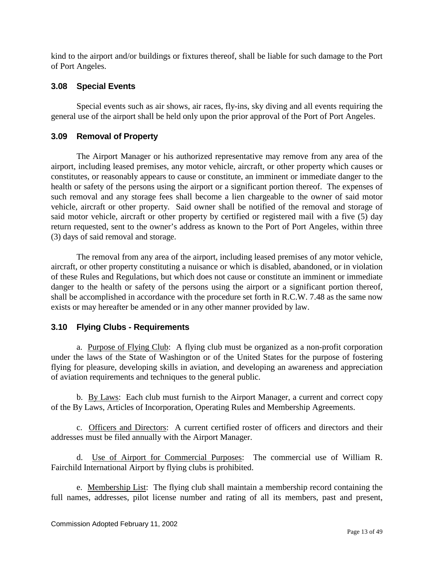kind to the airport and/or buildings or fixtures thereof, shall be liable for such damage to the Port of Port Angeles.

## <span id="page-12-0"></span>**3.08 Special Events**

Special events such as air shows, air races, fly-ins, sky diving and all events requiring the general use of the airport shall be held only upon the prior approval of the Port of Port Angeles.

## <span id="page-12-1"></span>**3.09 Removal of Property**

The Airport Manager or his authorized representative may remove from any area of the airport, including leased premises, any motor vehicle, aircraft, or other property which causes or constitutes, or reasonably appears to cause or constitute, an imminent or immediate danger to the health or safety of the persons using the airport or a significant portion thereof. The expenses of such removal and any storage fees shall become a lien chargeable to the owner of said motor vehicle, aircraft or other property. Said owner shall be notified of the removal and storage of said motor vehicle, aircraft or other property by certified or registered mail with a five (5) day return requested, sent to the owner's address as known to the Port of Port Angeles, within three (3) days of said removal and storage.

The removal from any area of the airport, including leased premises of any motor vehicle, aircraft, or other property constituting a nuisance or which is disabled, abandoned, or in violation of these Rules and Regulations, but which does not cause or constitute an imminent or immediate danger to the health or safety of the persons using the airport or a significant portion thereof, shall be accomplished in accordance with the procedure set forth in R.C.W. 7.48 as the same now exists or may hereafter be amended or in any other manner provided by law.

## <span id="page-12-2"></span>**3.10 Flying Clubs - Requirements**

a. Purpose of Flying Club: A flying club must be organized as a non-profit corporation under the laws of the State of Washington or of the United States for the purpose of fostering flying for pleasure, developing skills in aviation, and developing an awareness and appreciation of aviation requirements and techniques to the general public.

b. By Laws: Each club must furnish to the Airport Manager, a current and correct copy of the By Laws, Articles of Incorporation, Operating Rules and Membership Agreements.

c. Officers and Directors: A current certified roster of officers and directors and their addresses must be filed annually with the Airport Manager.

d. Use of Airport for Commercial Purposes: The commercial use of William R. Fairchild International Airport by flying clubs is prohibited.

e. Membership List: The flying club shall maintain a membership record containing the full names, addresses, pilot license number and rating of all its members, past and present,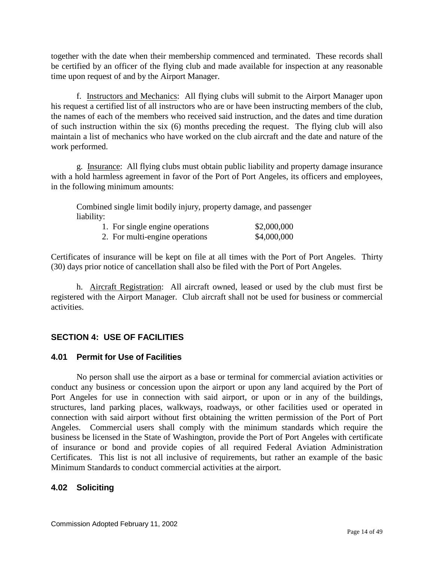together with the date when their membership commenced and terminated. These records shall be certified by an officer of the flying club and made available for inspection at any reasonable time upon request of and by the Airport Manager.

f. Instructors and Mechanics: All flying clubs will submit to the Airport Manager upon his request a certified list of all instructors who are or have been instructing members of the club, the names of each of the members who received said instruction, and the dates and time duration of such instruction within the six (6) months preceding the request. The flying club will also maintain a list of mechanics who have worked on the club aircraft and the date and nature of the work performed.

g. Insurance: All flying clubs must obtain public liability and property damage insurance with a hold harmless agreement in favor of the Port of Port Angeles, its officers and employees, in the following minimum amounts:

Combined single limit bodily injury, property damage, and passenger liability:

| 1. For single engine operations | \$2,000,000 |
|---------------------------------|-------------|
| 2. For multi-engine operations  | \$4,000,000 |

Certificates of insurance will be kept on file at all times with the Port of Port Angeles. Thirty (30) days prior notice of cancellation shall also be filed with the Port of Port Angeles.

h. Aircraft Registration: All aircraft owned, leased or used by the club must first be registered with the Airport Manager. Club aircraft shall not be used for business or commercial activities.

## <span id="page-13-0"></span>**SECTION 4: USE OF FACILITIES**

#### <span id="page-13-1"></span>**4.01 Permit for Use of Facilities**

No person shall use the airport as a base or terminal for commercial aviation activities or conduct any business or concession upon the airport or upon any land acquired by the Port of Port Angeles for use in connection with said airport, or upon or in any of the buildings, structures, land parking places, walkways, roadways, or other facilities used or operated in connection with said airport without first obtaining the written permission of the Port of Port Angeles. Commercial users shall comply with the minimum standards which require the business be licensed in the State of Washington, provide the Port of Port Angeles with certificate of insurance or bond and provide copies of all required Federal Aviation Administration Certificates. This list is not all inclusive of requirements, but rather an example of the basic Minimum Standards to conduct commercial activities at the airport.

## <span id="page-13-2"></span>**4.02 Soliciting**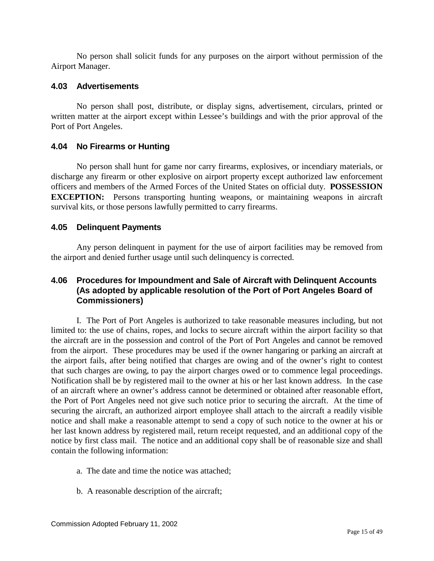No person shall solicit funds for any purposes on the airport without permission of the Airport Manager.

## <span id="page-14-0"></span>**4.03 Advertisements**

No person shall post, distribute, or display signs, advertisement, circulars, printed or written matter at the airport except within Lessee's buildings and with the prior approval of the Port of Port Angeles.

## <span id="page-14-1"></span>**4.04 No Firearms or Hunting**

No person shall hunt for game nor carry firearms, explosives, or incendiary materials, or discharge any firearm or other explosive on airport property except authorized law enforcement officers and members of the Armed Forces of the United States on official duty. **POSSESSION EXCEPTION:** Persons transporting hunting weapons, or maintaining weapons in aircraft survival kits, or those persons lawfully permitted to carry firearms.

## <span id="page-14-2"></span>**4.05 Delinquent Payments**

Any person delinquent in payment for the use of airport facilities may be removed from the airport and denied further usage until such delinquency is corrected.

## <span id="page-14-3"></span>**4.06 Procedures for Impoundment and Sale of Aircraft with Delinquent Accounts (As adopted by applicable resolution of the Port of Port Angeles Board of Commissioners)**

I. The Port of Port Angeles is authorized to take reasonable measures including, but not limited to: the use of chains, ropes, and locks to secure aircraft within the airport facility so that the aircraft are in the possession and control of the Port of Port Angeles and cannot be removed from the airport. These procedures may be used if the owner hangaring or parking an aircraft at the airport fails, after being notified that charges are owing and of the owner's right to contest that such charges are owing, to pay the airport charges owed or to commence legal proceedings. Notification shall be by registered mail to the owner at his or her last known address. In the case of an aircraft where an owner's address cannot be determined or obtained after reasonable effort, the Port of Port Angeles need not give such notice prior to securing the aircraft. At the time of securing the aircraft, an authorized airport employee shall attach to the aircraft a readily visible notice and shall make a reasonable attempt to send a copy of such notice to the owner at his or her last known address by registered mail, return receipt requested, and an additional copy of the notice by first class mail. The notice and an additional copy shall be of reasonable size and shall contain the following information:

- a. The date and time the notice was attached;
- b. A reasonable description of the aircraft;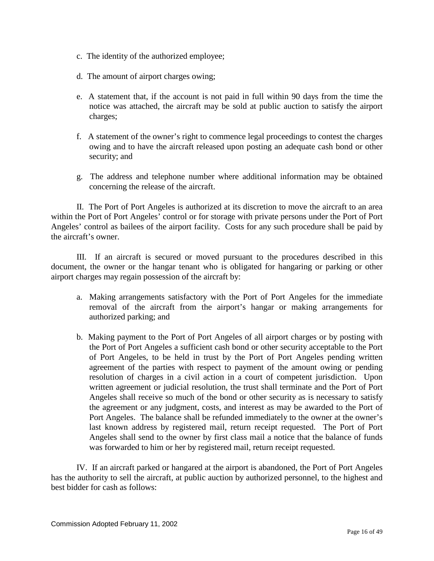- c. The identity of the authorized employee;
- d. The amount of airport charges owing;
- e. A statement that, if the account is not paid in full within 90 days from the time the notice was attached, the aircraft may be sold at public auction to satisfy the airport charges;
- f. A statement of the owner's right to commence legal proceedings to contest the charges owing and to have the aircraft released upon posting an adequate cash bond or other security; and
- g. The address and telephone number where additional information may be obtained concerning the release of the aircraft.

II. The Port of Port Angeles is authorized at its discretion to move the aircraft to an area within the Port of Port Angeles' control or for storage with private persons under the Port of Port Angeles' control as bailees of the airport facility. Costs for any such procedure shall be paid by the aircraft's owner.

III. If an aircraft is secured or moved pursuant to the procedures described in this document, the owner or the hangar tenant who is obligated for hangaring or parking or other airport charges may regain possession of the aircraft by:

- a. Making arrangements satisfactory with the Port of Port Angeles for the immediate removal of the aircraft from the airport's hangar or making arrangements for authorized parking; and
- b. Making payment to the Port of Port Angeles of all airport charges or by posting with the Port of Port Angeles a sufficient cash bond or other security acceptable to the Port of Port Angeles, to be held in trust by the Port of Port Angeles pending written agreement of the parties with respect to payment of the amount owing or pending resolution of charges in a civil action in a court of competent jurisdiction. Upon written agreement or judicial resolution, the trust shall terminate and the Port of Port Angeles shall receive so much of the bond or other security as is necessary to satisfy the agreement or any judgment, costs, and interest as may be awarded to the Port of Port Angeles. The balance shall be refunded immediately to the owner at the owner's last known address by registered mail, return receipt requested. The Port of Port Angeles shall send to the owner by first class mail a notice that the balance of funds was forwarded to him or her by registered mail, return receipt requested.

IV. If an aircraft parked or hangared at the airport is abandoned, the Port of Port Angeles has the authority to sell the aircraft, at public auction by authorized personnel, to the highest and best bidder for cash as follows: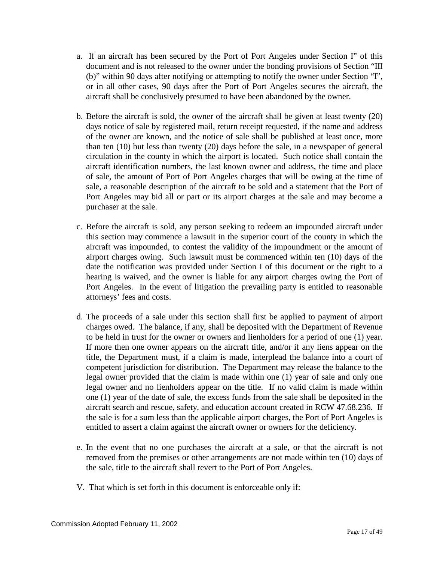- a. If an aircraft has been secured by the Port of Port Angeles under Section I" of this document and is not released to the owner under the bonding provisions of Section "III (b)" within 90 days after notifying or attempting to notify the owner under Section "I", or in all other cases, 90 days after the Port of Port Angeles secures the aircraft, the aircraft shall be conclusively presumed to have been abandoned by the owner.
- b. Before the aircraft is sold, the owner of the aircraft shall be given at least twenty (20) days notice of sale by registered mail, return receipt requested, if the name and address of the owner are known, and the notice of sale shall be published at least once, more than ten (10) but less than twenty (20) days before the sale, in a newspaper of general circulation in the county in which the airport is located. Such notice shall contain the aircraft identification numbers, the last known owner and address, the time and place of sale, the amount of Port of Port Angeles charges that will be owing at the time of sale, a reasonable description of the aircraft to be sold and a statement that the Port of Port Angeles may bid all or part or its airport charges at the sale and may become a purchaser at the sale.
- c. Before the aircraft is sold, any person seeking to redeem an impounded aircraft under this section may commence a lawsuit in the superior court of the county in which the aircraft was impounded, to contest the validity of the impoundment or the amount of airport charges owing. Such lawsuit must be commenced within ten (10) days of the date the notification was provided under Section I of this document or the right to a hearing is waived, and the owner is liable for any airport charges owing the Port of Port Angeles. In the event of litigation the prevailing party is entitled to reasonable attorneys' fees and costs.
- d. The proceeds of a sale under this section shall first be applied to payment of airport charges owed. The balance, if any, shall be deposited with the Department of Revenue to be held in trust for the owner or owners and lienholders for a period of one (1) year. If more then one owner appears on the aircraft title, and/or if any liens appear on the title, the Department must, if a claim is made, interplead the balance into a court of competent jurisdiction for distribution. The Department may release the balance to the legal owner provided that the claim is made within one (1) year of sale and only one legal owner and no lienholders appear on the title. If no valid claim is made within one (1) year of the date of sale, the excess funds from the sale shall be deposited in the aircraft search and rescue, safety, and education account created in RCW 47.68.236. If the sale is for a sum less than the applicable airport charges, the Port of Port Angeles is entitled to assert a claim against the aircraft owner or owners for the deficiency.
- e. In the event that no one purchases the aircraft at a sale, or that the aircraft is not removed from the premises or other arrangements are not made within ten (10) days of the sale, title to the aircraft shall revert to the Port of Port Angeles.
- V. That which is set forth in this document is enforceable only if: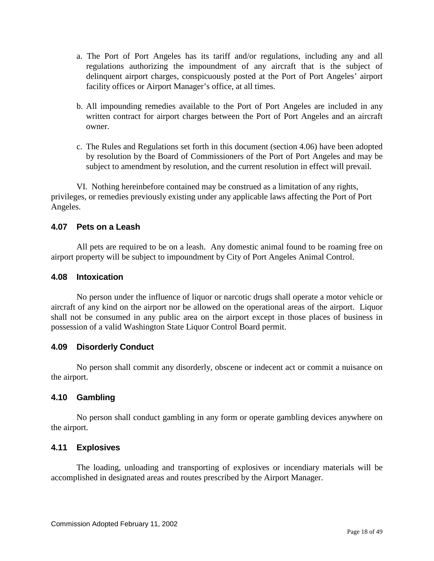- a. The Port of Port Angeles has its tariff and/or regulations, including any and all regulations authorizing the impoundment of any aircraft that is the subject of delinquent airport charges, conspicuously posted at the Port of Port Angeles' airport facility offices or Airport Manager's office, at all times.
- b. All impounding remedies available to the Port of Port Angeles are included in any written contract for airport charges between the Port of Port Angeles and an aircraft owner.
- c. The Rules and Regulations set forth in this document (section 4.06) have been adopted by resolution by the Board of Commissioners of the Port of Port Angeles and may be subject to amendment by resolution, and the current resolution in effect will prevail.

VI. Nothing hereinbefore contained may be construed as a limitation of any rights, privileges, or remedies previously existing under any applicable laws affecting the Port of Port Angeles.

## <span id="page-17-0"></span>**4.07 Pets on a Leash**

All pets are required to be on a leash. Any domestic animal found to be roaming free on airport property will be subject to impoundment by City of Port Angeles Animal Control.

#### <span id="page-17-1"></span>**4.08 Intoxication**

No person under the influence of liquor or narcotic drugs shall operate a motor vehicle or aircraft of any kind on the airport nor be allowed on the operational areas of the airport. Liquor shall not be consumed in any public area on the airport except in those places of business in possession of a valid Washington State Liquor Control Board permit.

## <span id="page-17-2"></span>**4.09 Disorderly Conduct**

No person shall commit any disorderly, obscene or indecent act or commit a nuisance on the airport.

## <span id="page-17-3"></span>**4.10 Gambling**

No person shall conduct gambling in any form or operate gambling devices anywhere on the airport.

## <span id="page-17-4"></span>**4.11 Explosives**

The loading, unloading and transporting of explosives or incendiary materials will be accomplished in designated areas and routes prescribed by the Airport Manager.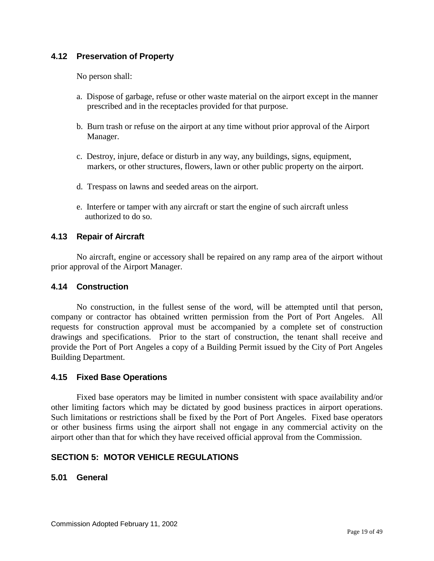## <span id="page-18-0"></span>**4.12 Preservation of Property**

No person shall:

- a. Dispose of garbage, refuse or other waste material on the airport except in the manner prescribed and in the receptacles provided for that purpose.
- b. Burn trash or refuse on the airport at any time without prior approval of the Airport Manager.
- c. Destroy, injure, deface or disturb in any way, any buildings, signs, equipment, markers, or other structures, flowers, lawn or other public property on the airport.
- d. Trespass on lawns and seeded areas on the airport.
- e. Interfere or tamper with any aircraft or start the engine of such aircraft unless authorized to do so.

## <span id="page-18-1"></span>**4.13 Repair of Aircraft**

No aircraft, engine or accessory shall be repaired on any ramp area of the airport without prior approval of the Airport Manager.

#### <span id="page-18-2"></span>**4.14 Construction**

No construction, in the fullest sense of the word, will be attempted until that person, company or contractor has obtained written permission from the Port of Port Angeles. All requests for construction approval must be accompanied by a complete set of construction drawings and specifications. Prior to the start of construction, the tenant shall receive and provide the Port of Port Angeles a copy of a Building Permit issued by the City of Port Angeles Building Department.

#### <span id="page-18-3"></span>**4.15 Fixed Base Operations**

Fixed base operators may be limited in number consistent with space availability and/or other limiting factors which may be dictated by good business practices in airport operations. Such limitations or restrictions shall be fixed by the Port of Port Angeles. Fixed base operators or other business firms using the airport shall not engage in any commercial activity on the airport other than that for which they have received official approval from the Commission.

#### <span id="page-18-4"></span>**SECTION 5: MOTOR VEHICLE REGULATIONS**

#### <span id="page-18-5"></span>**5.01 General**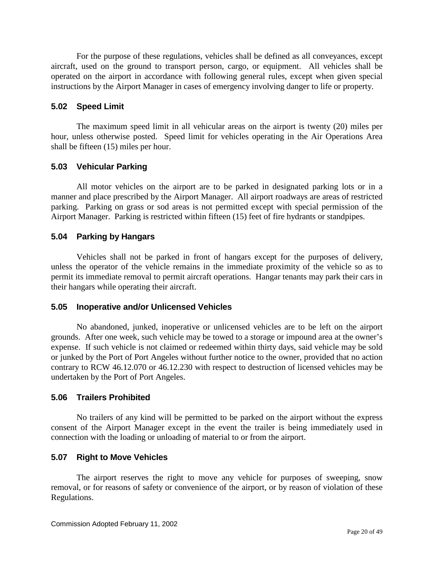For the purpose of these regulations, vehicles shall be defined as all conveyances, except aircraft, used on the ground to transport person, cargo, or equipment. All vehicles shall be operated on the airport in accordance with following general rules, except when given special instructions by the Airport Manager in cases of emergency involving danger to life or property.

#### <span id="page-19-0"></span>**5.02 Speed Limit**

The maximum speed limit in all vehicular areas on the airport is twenty (20) miles per hour, unless otherwise posted. Speed limit for vehicles operating in the Air Operations Area shall be fifteen (15) miles per hour.

## <span id="page-19-1"></span>**5.03 Vehicular Parking**

All motor vehicles on the airport are to be parked in designated parking lots or in a manner and place prescribed by the Airport Manager. All airport roadways are areas of restricted parking. Parking on grass or sod areas is not permitted except with special permission of the Airport Manager. Parking is restricted within fifteen (15) feet of fire hydrants or standpipes.

## <span id="page-19-2"></span>**5.04 Parking by Hangars**

Vehicles shall not be parked in front of hangars except for the purposes of delivery, unless the operator of the vehicle remains in the immediate proximity of the vehicle so as to permit its immediate removal to permit aircraft operations. Hangar tenants may park their cars in their hangars while operating their aircraft.

#### <span id="page-19-3"></span>**5.05 Inoperative and/or Unlicensed Vehicles**

No abandoned, junked, inoperative or unlicensed vehicles are to be left on the airport grounds. After one week, such vehicle may be towed to a storage or impound area at the owner's expense. If such vehicle is not claimed or redeemed within thirty days, said vehicle may be sold or junked by the Port of Port Angeles without further notice to the owner, provided that no action contrary to RCW 46.12.070 or 46.12.230 with respect to destruction of licensed vehicles may be undertaken by the Port of Port Angeles.

#### <span id="page-19-4"></span>**5.06 Trailers Prohibited**

No trailers of any kind will be permitted to be parked on the airport without the express consent of the Airport Manager except in the event the trailer is being immediately used in connection with the loading or unloading of material to or from the airport.

#### <span id="page-19-5"></span>**5.07 Right to Move Vehicles**

The airport reserves the right to move any vehicle for purposes of sweeping, snow removal, or for reasons of safety or convenience of the airport, or by reason of violation of these Regulations.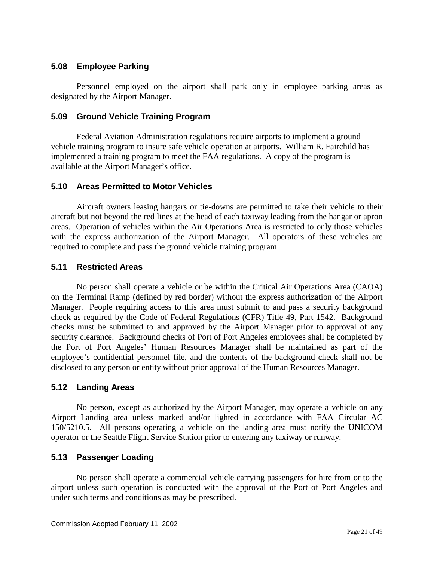## <span id="page-20-0"></span>**5.08 Employee Parking**

Personnel employed on the airport shall park only in employee parking areas as designated by the Airport Manager.

## <span id="page-20-1"></span>**5.09 Ground Vehicle Training Program**

Federal Aviation Administration regulations require airports to implement a ground vehicle training program to insure safe vehicle operation at airports. William R. Fairchild has implemented a training program to meet the FAA regulations. A copy of the program is available at the Airport Manager's office.

## <span id="page-20-2"></span>**5.10 Areas Permitted to Motor Vehicles**

Aircraft owners leasing hangars or tie-downs are permitted to take their vehicle to their aircraft but not beyond the red lines at the head of each taxiway leading from the hangar or apron areas. Operation of vehicles within the Air Operations Area is restricted to only those vehicles with the express authorization of the Airport Manager. All operators of these vehicles are required to complete and pass the ground vehicle training program.

## <span id="page-20-3"></span>**5.11 Restricted Areas**

No person shall operate a vehicle or be within the Critical Air Operations Area (CAOA) on the Terminal Ramp (defined by red border) without the express authorization of the Airport Manager. People requiring access to this area must submit to and pass a security background check as required by the Code of Federal Regulations (CFR) Title 49, Part 1542. Background checks must be submitted to and approved by the Airport Manager prior to approval of any security clearance. Background checks of Port of Port Angeles employees shall be completed by the Port of Port Angeles' Human Resources Manager shall be maintained as part of the employee's confidential personnel file, and the contents of the background check shall not be disclosed to any person or entity without prior approval of the Human Resources Manager.

## <span id="page-20-4"></span>**5.12 Landing Areas**

No person, except as authorized by the Airport Manager, may operate a vehicle on any Airport Landing area unless marked and/or lighted in accordance with FAA Circular AC 150/5210.5. All persons operating a vehicle on the landing area must notify the UNICOM operator or the Seattle Flight Service Station prior to entering any taxiway or runway.

## <span id="page-20-5"></span>**5.13 Passenger Loading**

No person shall operate a commercial vehicle carrying passengers for hire from or to the airport unless such operation is conducted with the approval of the Port of Port Angeles and under such terms and conditions as may be prescribed.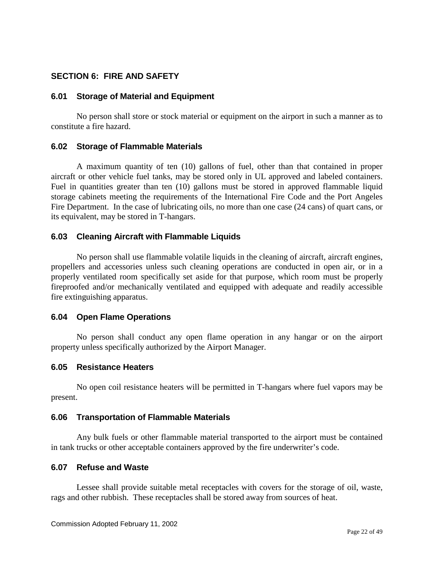## <span id="page-21-0"></span>**SECTION 6: FIRE AND SAFETY**

#### <span id="page-21-1"></span>**6.01 Storage of Material and Equipment**

No person shall store or stock material or equipment on the airport in such a manner as to constitute a fire hazard.

#### <span id="page-21-2"></span>**6.02 Storage of Flammable Materials**

A maximum quantity of ten (10) gallons of fuel, other than that contained in proper aircraft or other vehicle fuel tanks, may be stored only in UL approved and labeled containers. Fuel in quantities greater than ten (10) gallons must be stored in approved flammable liquid storage cabinets meeting the requirements of the International Fire Code and the Port Angeles Fire Department. In the case of lubricating oils, no more than one case (24 cans) of quart cans, or its equivalent, may be stored in T-hangars.

#### <span id="page-21-3"></span>**6.03 Cleaning Aircraft with Flammable Liquids**

No person shall use flammable volatile liquids in the cleaning of aircraft, aircraft engines, propellers and accessories unless such cleaning operations are conducted in open air, or in a properly ventilated room specifically set aside for that purpose, which room must be properly fireproofed and/or mechanically ventilated and equipped with adequate and readily accessible fire extinguishing apparatus.

#### <span id="page-21-4"></span>**6.04 Open Flame Operations**

No person shall conduct any open flame operation in any hangar or on the airport property unless specifically authorized by the Airport Manager.

#### <span id="page-21-5"></span>**6.05 Resistance Heaters**

No open coil resistance heaters will be permitted in T-hangars where fuel vapors may be present.

#### <span id="page-21-6"></span>**6.06 Transportation of Flammable Materials**

Any bulk fuels or other flammable material transported to the airport must be contained in tank trucks or other acceptable containers approved by the fire underwriter's code.

#### <span id="page-21-7"></span>**6.07 Refuse and Waste**

Lessee shall provide suitable metal receptacles with covers for the storage of oil, waste, rags and other rubbish. These receptacles shall be stored away from sources of heat.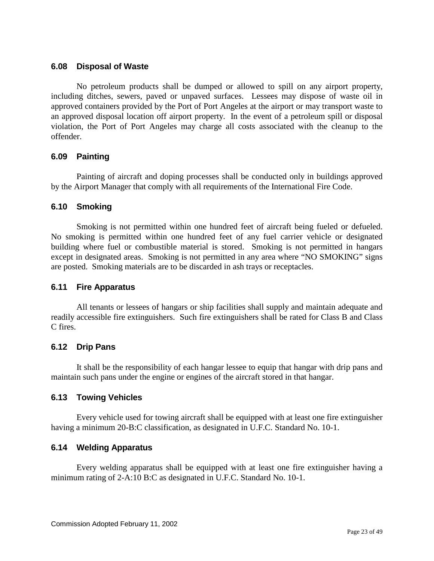## <span id="page-22-0"></span>**6.08 Disposal of Waste**

No petroleum products shall be dumped or allowed to spill on any airport property, including ditches, sewers, paved or unpaved surfaces. Lessees may dispose of waste oil in approved containers provided by the Port of Port Angeles at the airport or may transport waste to an approved disposal location off airport property. In the event of a petroleum spill or disposal violation, the Port of Port Angeles may charge all costs associated with the cleanup to the offender.

## <span id="page-22-1"></span>**6.09 Painting**

Painting of aircraft and doping processes shall be conducted only in buildings approved by the Airport Manager that comply with all requirements of the International Fire Code.

## <span id="page-22-2"></span>**6.10 Smoking**

Smoking is not permitted within one hundred feet of aircraft being fueled or defueled. No smoking is permitted within one hundred feet of any fuel carrier vehicle or designated building where fuel or combustible material is stored. Smoking is not permitted in hangars except in designated areas. Smoking is not permitted in any area where "NO SMOKING" signs are posted. Smoking materials are to be discarded in ash trays or receptacles.

#### <span id="page-22-3"></span>**6.11 Fire Apparatus**

All tenants or lessees of hangars or ship facilities shall supply and maintain adequate and readily accessible fire extinguishers. Such fire extinguishers shall be rated for Class B and Class C fires.

#### <span id="page-22-4"></span>**6.12 Drip Pans**

It shall be the responsibility of each hangar lessee to equip that hangar with drip pans and maintain such pans under the engine or engines of the aircraft stored in that hangar.

#### <span id="page-22-5"></span>**6.13 Towing Vehicles**

Every vehicle used for towing aircraft shall be equipped with at least one fire extinguisher having a minimum 20-B:C classification, as designated in U.F.C. Standard No. 10-1.

## <span id="page-22-6"></span>**6.14 Welding Apparatus**

Every welding apparatus shall be equipped with at least one fire extinguisher having a minimum rating of 2-A:10 B:C as designated in U.F.C. Standard No. 10-1.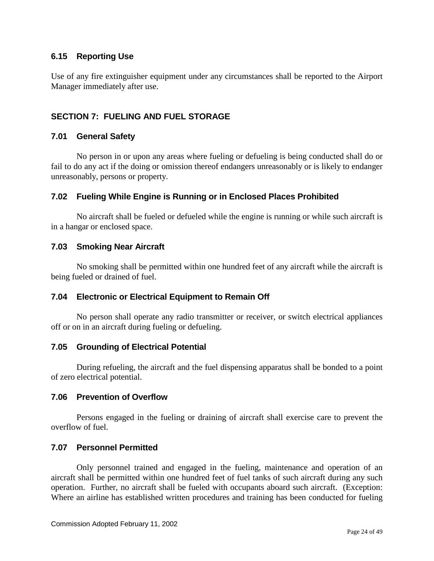## <span id="page-23-0"></span>**6.15 Reporting Use**

Use of any fire extinguisher equipment under any circumstances shall be reported to the Airport Manager immediately after use.

## <span id="page-23-1"></span>**SECTION 7: FUELING AND FUEL STORAGE**

#### <span id="page-23-2"></span>**7.01 General Safety**

No person in or upon any areas where fueling or defueling is being conducted shall do or fail to do any act if the doing or omission thereof endangers unreasonably or is likely to endanger unreasonably, persons or property.

#### <span id="page-23-3"></span>**7.02 Fueling While Engine is Running or in Enclosed Places Prohibited**

No aircraft shall be fueled or defueled while the engine is running or while such aircraft is in a hangar or enclosed space.

#### <span id="page-23-4"></span>**7.03 Smoking Near Aircraft**

No smoking shall be permitted within one hundred feet of any aircraft while the aircraft is being fueled or drained of fuel.

#### <span id="page-23-5"></span>**7.04 Electronic or Electrical Equipment to Remain Off**

No person shall operate any radio transmitter or receiver, or switch electrical appliances off or on in an aircraft during fueling or defueling.

#### <span id="page-23-6"></span>**7.05 Grounding of Electrical Potential**

During refueling, the aircraft and the fuel dispensing apparatus shall be bonded to a point of zero electrical potential.

#### <span id="page-23-7"></span>**7.06 Prevention of Overflow**

Persons engaged in the fueling or draining of aircraft shall exercise care to prevent the overflow of fuel.

#### <span id="page-23-8"></span>**7.07 Personnel Permitted**

Only personnel trained and engaged in the fueling, maintenance and operation of an aircraft shall be permitted within one hundred feet of fuel tanks of such aircraft during any such operation. Further, no aircraft shall be fueled with occupants aboard such aircraft. (Exception: Where an airline has established written procedures and training has been conducted for fueling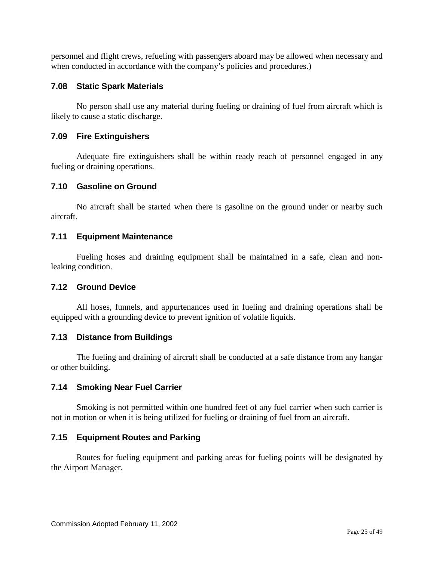personnel and flight crews, refueling with passengers aboard may be allowed when necessary and when conducted in accordance with the company's policies and procedures.)

## <span id="page-24-0"></span>**7.08 Static Spark Materials**

No person shall use any material during fueling or draining of fuel from aircraft which is likely to cause a static discharge.

## <span id="page-24-1"></span>**7.09 Fire Extinguishers**

Adequate fire extinguishers shall be within ready reach of personnel engaged in any fueling or draining operations.

## <span id="page-24-2"></span>**7.10 Gasoline on Ground**

No aircraft shall be started when there is gasoline on the ground under or nearby such aircraft.

## <span id="page-24-3"></span>**7.11 Equipment Maintenance**

Fueling hoses and draining equipment shall be maintained in a safe, clean and nonleaking condition.

#### <span id="page-24-4"></span>**7.12 Ground Device**

All hoses, funnels, and appurtenances used in fueling and draining operations shall be equipped with a grounding device to prevent ignition of volatile liquids.

## <span id="page-24-5"></span>**7.13 Distance from Buildings**

The fueling and draining of aircraft shall be conducted at a safe distance from any hangar or other building.

## <span id="page-24-6"></span>**7.14 Smoking Near Fuel Carrier**

Smoking is not permitted within one hundred feet of any fuel carrier when such carrier is not in motion or when it is being utilized for fueling or draining of fuel from an aircraft.

## <span id="page-24-7"></span>**7.15 Equipment Routes and Parking**

Routes for fueling equipment and parking areas for fueling points will be designated by the Airport Manager.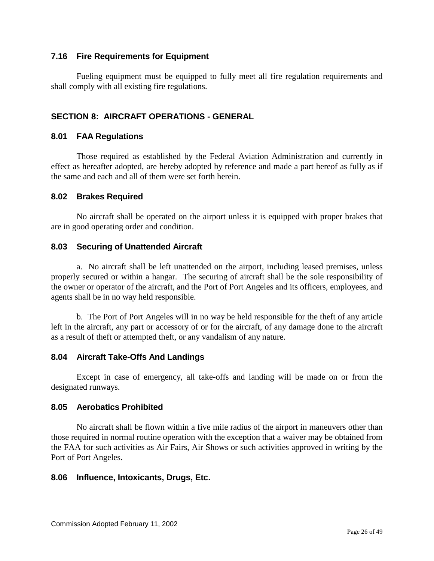## <span id="page-25-0"></span>**7.16 Fire Requirements for Equipment**

Fueling equipment must be equipped to fully meet all fire regulation requirements and shall comply with all existing fire regulations.

## <span id="page-25-1"></span>**SECTION 8: AIRCRAFT OPERATIONS - GENERAL**

#### <span id="page-25-2"></span>**8.01 FAA Regulations**

Those required as established by the Federal Aviation Administration and currently in effect as hereafter adopted, are hereby adopted by reference and made a part hereof as fully as if the same and each and all of them were set forth herein.

#### <span id="page-25-3"></span>**8.02 Brakes Required**

No aircraft shall be operated on the airport unless it is equipped with proper brakes that are in good operating order and condition.

#### <span id="page-25-4"></span>**8.03 Securing of Unattended Aircraft**

a. No aircraft shall be left unattended on the airport, including leased premises, unless properly secured or within a hangar. The securing of aircraft shall be the sole responsibility of the owner or operator of the aircraft, and the Port of Port Angeles and its officers, employees, and agents shall be in no way held responsible.

b. The Port of Port Angeles will in no way be held responsible for the theft of any article left in the aircraft, any part or accessory of or for the aircraft, of any damage done to the aircraft as a result of theft or attempted theft, or any vandalism of any nature.

#### <span id="page-25-5"></span>**8.04 Aircraft Take-Offs And Landings**

Except in case of emergency, all take-offs and landing will be made on or from the designated runways.

#### <span id="page-25-6"></span>**8.05 Aerobatics Prohibited**

No aircraft shall be flown within a five mile radius of the airport in maneuvers other than those required in normal routine operation with the exception that a waiver may be obtained from the FAA for such activities as Air Fairs, Air Shows or such activities approved in writing by the Port of Port Angeles.

#### <span id="page-25-7"></span>**8.06 Influence, Intoxicants, Drugs, Etc.**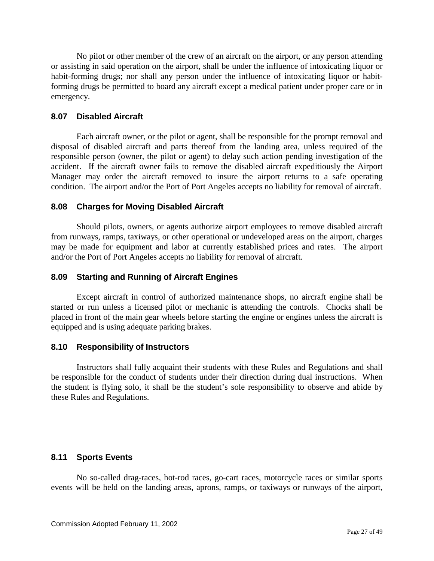No pilot or other member of the crew of an aircraft on the airport, or any person attending or assisting in said operation on the airport, shall be under the influence of intoxicating liquor or habit-forming drugs; nor shall any person under the influence of intoxicating liquor or habitforming drugs be permitted to board any aircraft except a medical patient under proper care or in emergency.

## <span id="page-26-0"></span>**8.07 Disabled Aircraft**

Each aircraft owner, or the pilot or agent, shall be responsible for the prompt removal and disposal of disabled aircraft and parts thereof from the landing area, unless required of the responsible person (owner, the pilot or agent) to delay such action pending investigation of the accident. If the aircraft owner fails to remove the disabled aircraft expeditiously the Airport Manager may order the aircraft removed to insure the airport returns to a safe operating condition. The airport and/or the Port of Port Angeles accepts no liability for removal of aircraft.

## <span id="page-26-1"></span>**8.08 Charges for Moving Disabled Aircraft**

Should pilots, owners, or agents authorize airport employees to remove disabled aircraft from runways, ramps, taxiways, or other operational or undeveloped areas on the airport, charges may be made for equipment and labor at currently established prices and rates. The airport and/or the Port of Port Angeles accepts no liability for removal of aircraft.

## <span id="page-26-2"></span>**8.09 Starting and Running of Aircraft Engines**

Except aircraft in control of authorized maintenance shops, no aircraft engine shall be started or run unless a licensed pilot or mechanic is attending the controls. Chocks shall be placed in front of the main gear wheels before starting the engine or engines unless the aircraft is equipped and is using adequate parking brakes.

## <span id="page-26-3"></span>**8.10 Responsibility of Instructors**

Instructors shall fully acquaint their students with these Rules and Regulations and shall be responsible for the conduct of students under their direction during dual instructions. When the student is flying solo, it shall be the student's sole responsibility to observe and abide by these Rules and Regulations.

## <span id="page-26-4"></span>**8.11 Sports Events**

No so-called drag-races, hot-rod races, go-cart races, motorcycle races or similar sports events will be held on the landing areas, aprons, ramps, or taxiways or runways of the airport,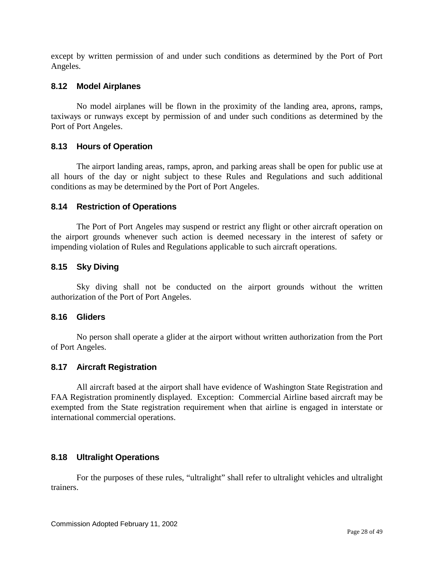except by written permission of and under such conditions as determined by the Port of Port Angeles.

## <span id="page-27-0"></span>**8.12 Model Airplanes**

No model airplanes will be flown in the proximity of the landing area, aprons, ramps, taxiways or runways except by permission of and under such conditions as determined by the Port of Port Angeles.

## <span id="page-27-1"></span>**8.13 Hours of Operation**

The airport landing areas, ramps, apron, and parking areas shall be open for public use at all hours of the day or night subject to these Rules and Regulations and such additional conditions as may be determined by the Port of Port Angeles.

## <span id="page-27-2"></span>**8.14 Restriction of Operations**

The Port of Port Angeles may suspend or restrict any flight or other aircraft operation on the airport grounds whenever such action is deemed necessary in the interest of safety or impending violation of Rules and Regulations applicable to such aircraft operations.

## <span id="page-27-3"></span>**8.15 Sky Diving**

Sky diving shall not be conducted on the airport grounds without the written authorization of the Port of Port Angeles.

#### <span id="page-27-4"></span>**8.16 Gliders**

No person shall operate a glider at the airport without written authorization from the Port of Port Angeles.

#### <span id="page-27-5"></span>**8.17 Aircraft Registration**

All aircraft based at the airport shall have evidence of Washington State Registration and FAA Registration prominently displayed. Exception: Commercial Airline based aircraft may be exempted from the State registration requirement when that airline is engaged in interstate or international commercial operations.

## <span id="page-27-6"></span>**8.18 Ultralight Operations**

For the purposes of these rules, "ultralight" shall refer to ultralight vehicles and ultralight trainers.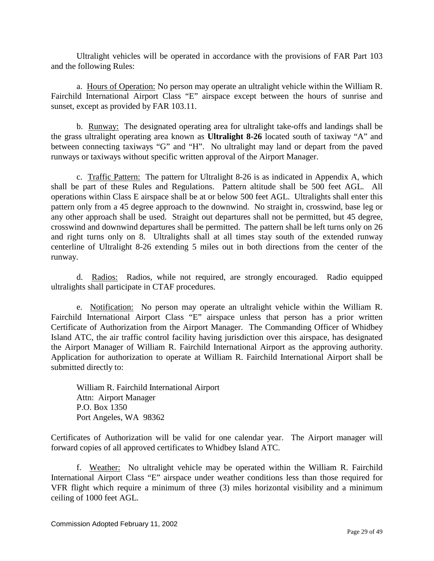Ultralight vehicles will be operated in accordance with the provisions of FAR Part 103 and the following Rules:

a. Hours of Operation: No person may operate an ultralight vehicle within the William R. Fairchild International Airport Class "E" airspace except between the hours of sunrise and sunset, except as provided by FAR 103.11.

b. Runway: The designated operating area for ultralight take-offs and landings shall be the grass ultralight operating area known as **Ultralight 8-26** located south of taxiway "A" and between connecting taxiways "G" and "H". No ultralight may land or depart from the paved runways or taxiways without specific written approval of the Airport Manager.

c. Traffic Pattern: The pattern for Ultralight 8-26 is as indicated in Appendix A, which shall be part of these Rules and Regulations. Pattern altitude shall be 500 feet AGL. All operations within Class E airspace shall be at or below 500 feet AGL. Ultralights shall enter this pattern only from a 45 degree approach to the downwind. No straight in, crosswind, base leg or any other approach shall be used. Straight out departures shall not be permitted, but 45 degree, crosswind and downwind departures shall be permitted. The pattern shall be left turns only on 26 and right turns only on 8. Ultralights shall at all times stay south of the extended runway centerline of Ultralight 8-26 extending 5 miles out in both directions from the center of the runway.

d. Radios: Radios, while not required, are strongly encouraged. Radio equipped ultralights shall participate in CTAF procedures.

e. Notification: No person may operate an ultralight vehicle within the William R. Fairchild International Airport Class "E" airspace unless that person has a prior written Certificate of Authorization from the Airport Manager. The Commanding Officer of Whidbey Island ATC, the air traffic control facility having jurisdiction over this airspace, has designated the Airport Manager of William R. Fairchild International Airport as the approving authority. Application for authorization to operate at William R. Fairchild International Airport shall be submitted directly to:

William R. Fairchild International Airport Attn: Airport Manager P.O. Box 1350 Port Angeles, WA 98362

Certificates of Authorization will be valid for one calendar year. The Airport manager will forward copies of all approved certificates to Whidbey Island ATC.

f. Weather: No ultralight vehicle may be operated within the William R. Fairchild International Airport Class "E" airspace under weather conditions less than those required for VFR flight which require a minimum of three (3) miles horizontal visibility and a minimum ceiling of 1000 feet AGL.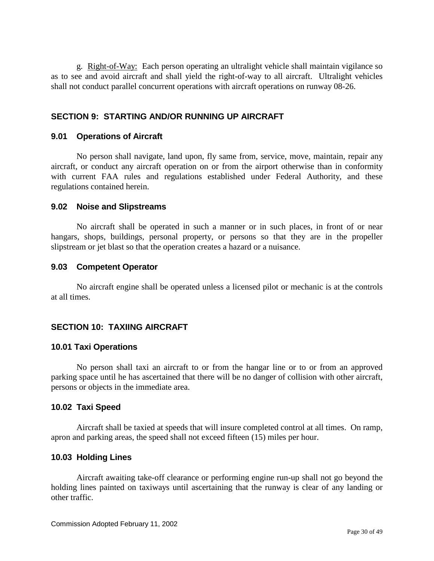g. Right-of-Way: Each person operating an ultralight vehicle shall maintain vigilance so as to see and avoid aircraft and shall yield the right-of-way to all aircraft. Ultralight vehicles shall not conduct parallel concurrent operations with aircraft operations on runway 08-26.

## <span id="page-29-0"></span>**SECTION 9: STARTING AND/OR RUNNING UP AIRCRAFT**

#### <span id="page-29-1"></span>**9.01 Operations of Aircraft**

No person shall navigate, land upon, fly same from, service, move, maintain, repair any aircraft, or conduct any aircraft operation on or from the airport otherwise than in conformity with current FAA rules and regulations established under Federal Authority, and these regulations contained herein.

#### <span id="page-29-2"></span>**9.02 Noise and Slipstreams**

No aircraft shall be operated in such a manner or in such places, in front of or near hangars, shops, buildings, personal property, or persons so that they are in the propeller slipstream or jet blast so that the operation creates a hazard or a nuisance.

#### <span id="page-29-3"></span>**9.03 Competent Operator**

No aircraft engine shall be operated unless a licensed pilot or mechanic is at the controls at all times.

#### <span id="page-29-4"></span>**SECTION 10: TAXIING AIRCRAFT**

#### <span id="page-29-5"></span>**10.01 Taxi Operations**

No person shall taxi an aircraft to or from the hangar line or to or from an approved parking space until he has ascertained that there will be no danger of collision with other aircraft, persons or objects in the immediate area.

#### <span id="page-29-6"></span>**10.02 Taxi Speed**

Aircraft shall be taxied at speeds that will insure completed control at all times. On ramp, apron and parking areas, the speed shall not exceed fifteen (15) miles per hour.

#### <span id="page-29-7"></span>**10.03 Holding Lines**

Aircraft awaiting take-off clearance or performing engine run-up shall not go beyond the holding lines painted on taxiways until ascertaining that the runway is clear of any landing or other traffic.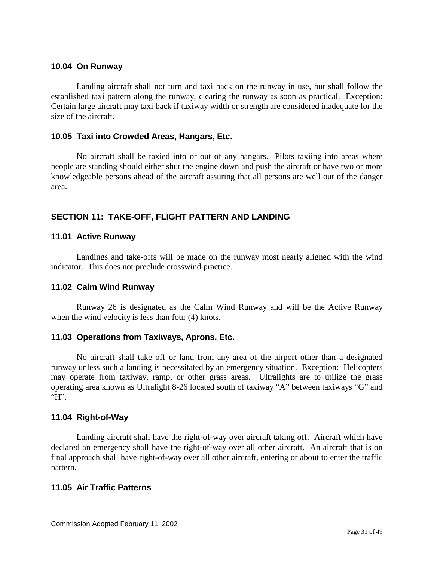#### <span id="page-30-0"></span>**10.04 On Runway**

Landing aircraft shall not turn and taxi back on the runway in use, but shall follow the established taxi pattern along the runway, clearing the runway as soon as practical. Exception: Certain large aircraft may taxi back if taxiway width or strength are considered inadequate for the size of the aircraft.

## <span id="page-30-1"></span>**10.05 Taxi into Crowded Areas, Hangars, Etc.**

No aircraft shall be taxied into or out of any hangars. Pilots taxiing into areas where people are standing should either shut the engine down and push the aircraft or have two or more knowledgeable persons ahead of the aircraft assuring that all persons are well out of the danger area.

## <span id="page-30-2"></span>**SECTION 11: TAKE-OFF, FLIGHT PATTERN AND LANDING**

#### <span id="page-30-3"></span>**11.01 Active Runway**

Landings and take-offs will be made on the runway most nearly aligned with the wind indicator. This does not preclude crosswind practice.

#### <span id="page-30-4"></span>**11.02 Calm Wind Runway**

Runway 26 is designated as the Calm Wind Runway and will be the Active Runway when the wind velocity is less than four (4) knots.

#### <span id="page-30-5"></span>**11.03 Operations from Taxiways, Aprons, Etc.**

No aircraft shall take off or land from any area of the airport other than a designated runway unless such a landing is necessitated by an emergency situation. Exception: Helicopters may operate from taxiway, ramp, or other grass areas. Ultralights are to utilize the grass operating area known as Ultralight 8-26 located south of taxiway "A" between taxiways "G" and "H".

#### <span id="page-30-6"></span>**11.04 Right-of-Way**

Landing aircraft shall have the right-of-way over aircraft taking off. Aircraft which have declared an emergency shall have the right-of-way over all other aircraft. An aircraft that is on final approach shall have right-of-way over all other aircraft, entering or about to enter the traffic pattern.

#### <span id="page-30-7"></span>**11.05 Air Traffic Patterns**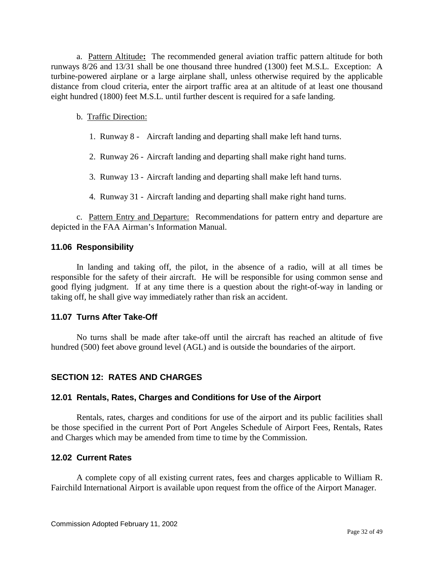a. Pattern Altitude**:** The recommended general aviation traffic pattern altitude for both runways 8/26 and 13/31 shall be one thousand three hundred (1300) feet M.S.L. Exception: A turbine-powered airplane or a large airplane shall, unless otherwise required by the applicable distance from cloud criteria, enter the airport traffic area at an altitude of at least one thousand eight hundred (1800) feet M.S.L. until further descent is required for a safe landing.

#### b. Traffic Direction:

- 1. Runway 8 Aircraft landing and departing shall make left hand turns.
- 2. Runway 26 Aircraft landing and departing shall make right hand turns.
- 3. Runway 13 Aircraft landing and departing shall make left hand turns.
- 4. Runway 31 Aircraft landing and departing shall make right hand turns.

c. Pattern Entry and Departure: Recommendations for pattern entry and departure are depicted in the FAA Airman's Information Manual.

#### <span id="page-31-0"></span>**11.06 Responsibility**

In landing and taking off, the pilot, in the absence of a radio, will at all times be responsible for the safety of their aircraft. He will be responsible for using common sense and good flying judgment. If at any time there is a question about the right-of-way in landing or taking off, he shall give way immediately rather than risk an accident.

#### <span id="page-31-1"></span>**11.07 Turns After Take-Off**

No turns shall be made after take-off until the aircraft has reached an altitude of five hundred (500) feet above ground level (AGL) and is outside the boundaries of the airport.

#### <span id="page-31-2"></span>**SECTION 12: RATES AND CHARGES**

#### <span id="page-31-3"></span>**12.01 Rentals, Rates, Charges and Conditions for Use of the Airport**

Rentals, rates, charges and conditions for use of the airport and its public facilities shall be those specified in the current Port of Port Angeles Schedule of Airport Fees, Rentals, Rates and Charges which may be amended from time to time by the Commission.

#### <span id="page-31-4"></span>**12.02 Current Rates**

A complete copy of all existing current rates, fees and charges applicable to William R. Fairchild International Airport is available upon request from the office of the Airport Manager.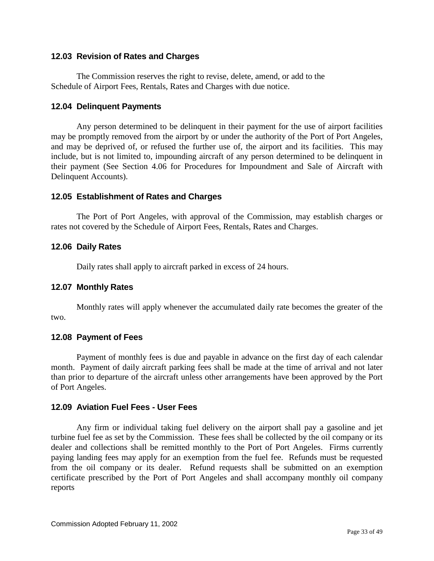## <span id="page-32-0"></span>**12.03 Revision of Rates and Charges**

The Commission reserves the right to revise, delete, amend, or add to the Schedule of Airport Fees, Rentals, Rates and Charges with due notice.

#### <span id="page-32-1"></span>**12.04 Delinquent Payments**

Any person determined to be delinquent in their payment for the use of airport facilities may be promptly removed from the airport by or under the authority of the Port of Port Angeles, and may be deprived of, or refused the further use of, the airport and its facilities. This may include, but is not limited to, impounding aircraft of any person determined to be delinquent in their payment (See Section 4.06 for Procedures for Impoundment and Sale of Aircraft with Delinquent Accounts).

## <span id="page-32-2"></span>**12.05 Establishment of Rates and Charges**

The Port of Port Angeles, with approval of the Commission, may establish charges or rates not covered by the Schedule of Airport Fees, Rentals, Rates and Charges.

## <span id="page-32-3"></span>**12.06 Daily Rates**

Daily rates shall apply to aircraft parked in excess of 24 hours.

#### <span id="page-32-4"></span>**12.07 Monthly Rates**

Monthly rates will apply whenever the accumulated daily rate becomes the greater of the two.

#### <span id="page-32-5"></span>**12.08 Payment of Fees**

Payment of monthly fees is due and payable in advance on the first day of each calendar month. Payment of daily aircraft parking fees shall be made at the time of arrival and not later than prior to departure of the aircraft unless other arrangements have been approved by the Port of Port Angeles.

#### <span id="page-32-6"></span>**12.09 Aviation Fuel Fees - User Fees**

Any firm or individual taking fuel delivery on the airport shall pay a gasoline and jet turbine fuel fee as set by the Commission. These fees shall be collected by the oil company or its dealer and collections shall be remitted monthly to the Port of Port Angeles. Firms currently paying landing fees may apply for an exemption from the fuel fee. Refunds must be requested from the oil company or its dealer. Refund requests shall be submitted on an exemption certificate prescribed by the Port of Port Angeles and shall accompany monthly oil company reports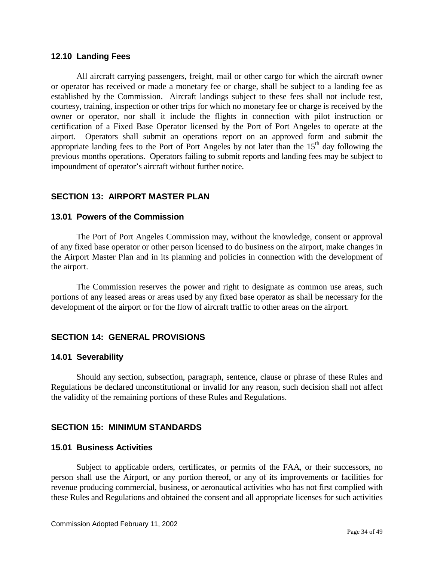#### <span id="page-33-0"></span>**12.10 Landing Fees**

All aircraft carrying passengers, freight, mail or other cargo for which the aircraft owner or operator has received or made a monetary fee or charge, shall be subject to a landing fee as established by the Commission. Aircraft landings subject to these fees shall not include test, courtesy, training, inspection or other trips for which no monetary fee or charge is received by the owner or operator, nor shall it include the flights in connection with pilot instruction or certification of a Fixed Base Operator licensed by the Port of Port Angeles to operate at the airport.Operators shall submit an operations report on an approved form and submit the appropriate landing fees to the Port of Port Angeles by not later than the  $15<sup>th</sup>$  day following the previous months operations. Operators failing to submit reports and landing fees may be subject to impoundment of operator's aircraft without further notice.

## <span id="page-33-1"></span>**SECTION 13: AIRPORT MASTER PLAN**

#### <span id="page-33-2"></span>**13.01 Powers of the Commission**

The Port of Port Angeles Commission may, without the knowledge, consent or approval of any fixed base operator or other person licensed to do business on the airport, make changes in the Airport Master Plan and in its planning and policies in connection with the development of the airport.

The Commission reserves the power and right to designate as common use areas, such portions of any leased areas or areas used by any fixed base operator as shall be necessary for the development of the airport or for the flow of aircraft traffic to other areas on the airport.

## <span id="page-33-3"></span>**SECTION 14: GENERAL PROVISIONS**

#### <span id="page-33-4"></span>**14.01 Severability**

Should any section, subsection, paragraph, sentence, clause or phrase of these Rules and Regulations be declared unconstitutional or invalid for any reason, such decision shall not affect the validity of the remaining portions of these Rules and Regulations.

#### <span id="page-33-5"></span>**SECTION 15: MINIMUM STANDARDS**

#### <span id="page-33-6"></span>**15.01 Business Activities**

Subject to applicable orders, certificates, or permits of the FAA, or their successors, no person shall use the Airport, or any portion thereof, or any of its improvements or facilities for revenue producing commercial, business, or aeronautical activities who has not first complied with these Rules and Regulations and obtained the consent and all appropriate licenses for such activities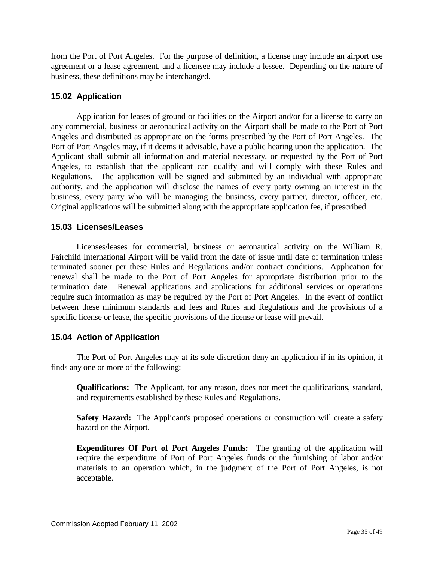from the Port of Port Angeles. For the purpose of definition, a license may include an airport use agreement or a lease agreement, and a licensee may include a lessee. Depending on the nature of business, these definitions may be interchanged.

## <span id="page-34-0"></span>**15.02 Application**

Application for leases of ground or facilities on the Airport and/or for a license to carry on any commercial, business or aeronautical activity on the Airport shall be made to the Port of Port Angeles and distributed as appropriate on the forms prescribed by the Port of Port Angeles. The Port of Port Angeles may, if it deems it advisable, have a public hearing upon the application. The Applicant shall submit all information and material necessary, or requested by the Port of Port Angeles, to establish that the applicant can qualify and will comply with these Rules and Regulations. The application will be signed and submitted by an individual with appropriate authority, and the application will disclose the names of every party owning an interest in the business, every party who will be managing the business, every partner, director, officer, etc. Original applications will be submitted along with the appropriate application fee, if prescribed.

#### <span id="page-34-1"></span>**15.03 Licenses/Leases**

Licenses/leases for commercial, business or aeronautical activity on the William R. Fairchild International Airport will be valid from the date of issue until date of termination unless terminated sooner per these Rules and Regulations and/or contract conditions. Application for renewal shall be made to the Port of Port Angeles for appropriate distribution prior to the termination date. Renewal applications and applications for additional services or operations require such information as may be required by the Port of Port Angeles. In the event of conflict between these minimum standards and fees and Rules and Regulations and the provisions of a specific license or lease, the specific provisions of the license or lease will prevail.

## <span id="page-34-2"></span>**15.04 Action of Application**

The Port of Port Angeles may at its sole discretion deny an application if in its opinion, it finds any one or more of the following:

**Qualifications:** The Applicant, for any reason, does not meet the qualifications, standard, and requirements established by these Rules and Regulations.

**Safety Hazard:** The Applicant's proposed operations or construction will create a safety hazard on the Airport.

**Expenditures Of Port of Port Angeles Funds:** The granting of the application will require the expenditure of Port of Port Angeles funds or the furnishing of labor and/or materials to an operation which, in the judgment of the Port of Port Angeles, is not acceptable.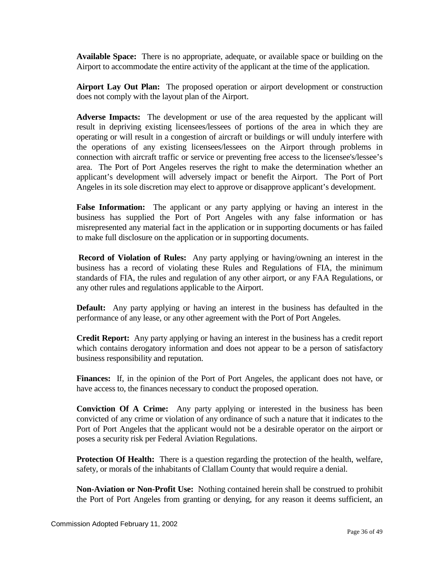**Available Space:** There is no appropriate, adequate, or available space or building on the Airport to accommodate the entire activity of the applicant at the time of the application.

**Airport Lay Out Plan:** The proposed operation or airport development or construction does not comply with the layout plan of the Airport.

**Adverse Impacts:** The development or use of the area requested by the applicant will result in depriving existing licensees/lessees of portions of the area in which they are operating or will result in a congestion of aircraft or buildings or will unduly interfere with the operations of any existing licensees/lessees on the Airport through problems in connection with aircraft traffic or service or preventing free access to the licensee's/lessee's area. The Port of Port Angeles reserves the right to make the determination whether an applicant's development will adversely impact or benefit the Airport. The Port of Port Angeles in its sole discretion may elect to approve or disapprove applicant's development.

**False Information:** The applicant or any party applying or having an interest in the business has supplied the Port of Port Angeles with any false information or has misrepresented any material fact in the application or in supporting documents or has failed to make full disclosure on the application or in supporting documents.

**Record of Violation of Rules:** Any party applying or having/owning an interest in the business has a record of violating these Rules and Regulations of FIA, the minimum standards of FIA, the rules and regulation of any other airport, or any FAA Regulations, or any other rules and regulations applicable to the Airport.

**Default:** Any party applying or having an interest in the business has defaulted in the performance of any lease, or any other agreement with the Port of Port Angeles.

**Credit Report:** Any party applying or having an interest in the business has a credit report which contains derogatory information and does not appear to be a person of satisfactory business responsibility and reputation.

**Finances:** If, in the opinion of the Port of Port Angeles, the applicant does not have, or have access to, the finances necessary to conduct the proposed operation.

**Conviction Of A Crime:** Any party applying or interested in the business has been convicted of any crime or violation of any ordinance of such a nature that it indicates to the Port of Port Angeles that the applicant would not be a desirable operator on the airport or poses a security risk per Federal Aviation Regulations.

**Protection Of Health:** There is a question regarding the protection of the health, welfare, safety, or morals of the inhabitants of Clallam County that would require a denial.

**Non-Aviation or Non-Profit Use:** Nothing contained herein shall be construed to prohibit the Port of Port Angeles from granting or denying, for any reason it deems sufficient, an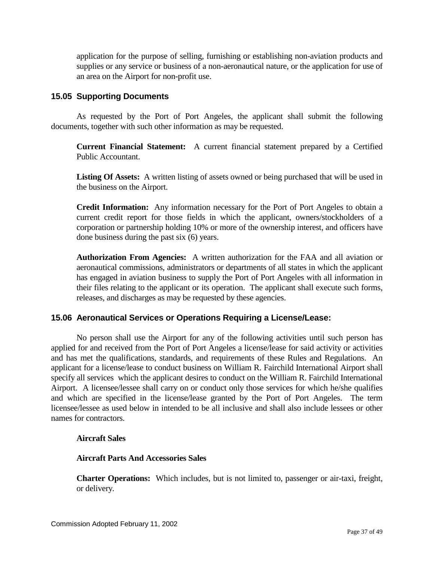application for the purpose of selling, furnishing or establishing non-aviation products and supplies or any service or business of a non-aeronautical nature, or the application for use of an area on the Airport for non-profit use.

## <span id="page-36-0"></span>**15.05 Supporting Documents**

As requested by the Port of Port Angeles, the applicant shall submit the following documents, together with such other information as may be requested.

**Current Financial Statement:** A current financial statement prepared by a Certified Public Accountant.

**Listing Of Assets:** A written listing of assets owned or being purchased that will be used in the business on the Airport.

**Credit Information:** Any information necessary for the Port of Port Angeles to obtain a current credit report for those fields in which the applicant, owners/stockholders of a corporation or partnership holding 10% or more of the ownership interest, and officers have done business during the past six (6) years.

**Authorization From Agencies:** A written authorization for the FAA and all aviation or aeronautical commissions, administrators or departments of all states in which the applicant has engaged in aviation business to supply the Port of Port Angeles with all information in their files relating to the applicant or its operation. The applicant shall execute such forms, releases, and discharges as may be requested by these agencies.

## <span id="page-36-1"></span>**15.06 Aeronautical Services or Operations Requiring a License/Lease:**

No person shall use the Airport for any of the following activities until such person has applied for and received from the Port of Port Angeles a license/lease for said activity or activities and has met the qualifications, standards, and requirements of these Rules and Regulations. An applicant for a license/lease to conduct business on William R. Fairchild International Airport shall specify all services which the applicant desires to conduct on the William R. Fairchild International Airport. A licensee/lessee shall carry on or conduct only those services for which he/she qualifies and which are specified in the license/lease granted by the Port of Port Angeles. The term licensee/lessee as used below in intended to be all inclusive and shall also include lessees or other names for contractors.

#### **Aircraft Sales**

#### **Aircraft Parts And Accessories Sales**

**Charter Operations:** Which includes, but is not limited to, passenger or air-taxi, freight, or delivery.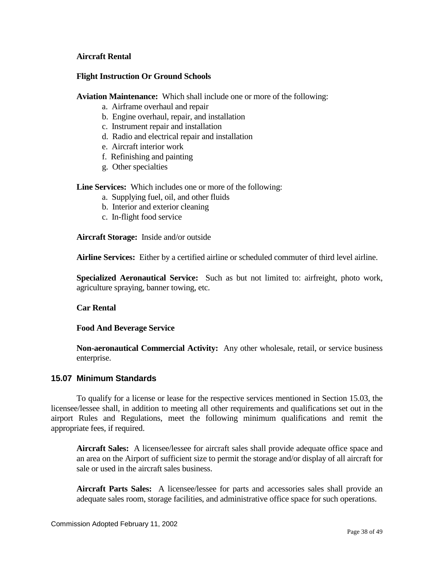#### **Aircraft Rental**

#### **Flight Instruction Or Ground Schools**

**Aviation Maintenance:** Which shall include one or more of the following:

- a. Airframe overhaul and repair
- b. Engine overhaul, repair, and installation
- c. Instrument repair and installation
- d. Radio and electrical repair and installation
- e. Aircraft interior work
- f. Refinishing and painting
- g. Other specialties

**Line Services:** Which includes one or more of the following:

- a. Supplying fuel, oil, and other fluids
- b. Interior and exterior cleaning
- c. In-flight food service

**Aircraft Storage:** Inside and/or outside

**Airline Services:** Either by a certified airline or scheduled commuter of third level airline.

**Specialized Aeronautical Service:** Such as but not limited to: airfreight, photo work, agriculture spraying, banner towing, etc.

#### **Car Rental**

#### **Food And Beverage Service**

**Non-aeronautical Commercial Activity:** Any other wholesale, retail, or service business enterprise.

#### <span id="page-37-0"></span>**15.07 Minimum Standards**

To qualify for a license or lease for the respective services mentioned in Section 15.03, the licensee/lessee shall, in addition to meeting all other requirements and qualifications set out in the airport Rules and Regulations, meet the following minimum qualifications and remit the appropriate fees, if required.

**Aircraft Sales:** A licensee/lessee for aircraft sales shall provide adequate office space and an area on the Airport of sufficient size to permit the storage and/or display of all aircraft for sale or used in the aircraft sales business.

**Aircraft Parts Sales:** A licensee/lessee for parts and accessories sales shall provide an adequate sales room, storage facilities, and administrative office space for such operations.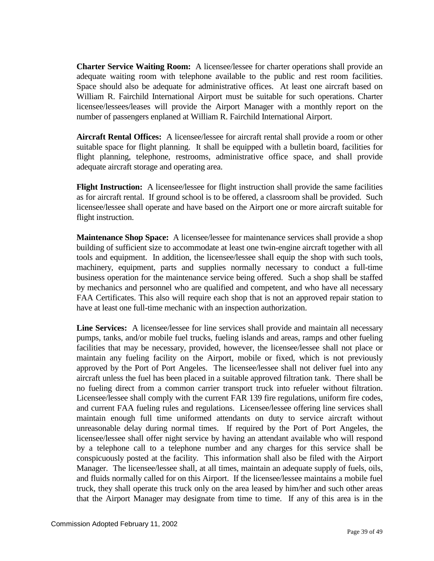**Charter Service Waiting Room:** A licensee/lessee for charter operations shall provide an adequate waiting room with telephone available to the public and rest room facilities. Space should also be adequate for administrative offices. At least one aircraft based on William R. Fairchild International Airport must be suitable for such operations. Charter licensee/lessees/leases will provide the Airport Manager with a monthly report on the number of passengers enplaned at William R. Fairchild International Airport.

**Aircraft Rental Offices:** A licensee/lessee for aircraft rental shall provide a room or other suitable space for flight planning. It shall be equipped with a bulletin board, facilities for flight planning, telephone, restrooms, administrative office space, and shall provide adequate aircraft storage and operating area.

**Flight Instruction:** A licensee/lessee for flight instruction shall provide the same facilities as for aircraft rental. If ground school is to be offered, a classroom shall be provided. Such licensee/lessee shall operate and have based on the Airport one or more aircraft suitable for flight instruction.

**Maintenance Shop Space:** A licensee/lessee for maintenance services shall provide a shop building of sufficient size to accommodate at least one twin-engine aircraft together with all tools and equipment. In addition, the licensee/lessee shall equip the shop with such tools, machinery, equipment, parts and supplies normally necessary to conduct a full-time business operation for the maintenance service being offered. Such a shop shall be staffed by mechanics and personnel who are qualified and competent, and who have all necessary FAA Certificates. This also will require each shop that is not an approved repair station to have at least one full-time mechanic with an inspection authorization.

**Line Services:** A licensee/lessee for line services shall provide and maintain all necessary pumps, tanks, and/or mobile fuel trucks, fueling islands and areas, ramps and other fueling facilities that may be necessary, provided, however, the licensee/lessee shall not place or maintain any fueling facility on the Airport, mobile or fixed, which is not previously approved by the Port of Port Angeles. The licensee/lessee shall not deliver fuel into any aircraft unless the fuel has been placed in a suitable approved filtration tank. There shall be no fueling direct from a common carrier transport truck into refueler without filtration. Licensee/lessee shall comply with the current FAR 139 fire regulations, uniform fire codes, and current FAA fueling rules and regulations. Licensee/lessee offering line services shall maintain enough full time uniformed attendants on duty to service aircraft without unreasonable delay during normal times. If required by the Port of Port Angeles, the licensee/lessee shall offer night service by having an attendant available who will respond by a telephone call to a telephone number and any charges for this service shall be conspicuously posted at the facility. This information shall also be filed with the Airport Manager. The licensee/lessee shall, at all times, maintain an adequate supply of fuels, oils, and fluids normally called for on this Airport. If the licensee/lessee maintains a mobile fuel truck, they shall operate this truck only on the area leased by him/her and such other areas that the Airport Manager may designate from time to time. If any of this area is in the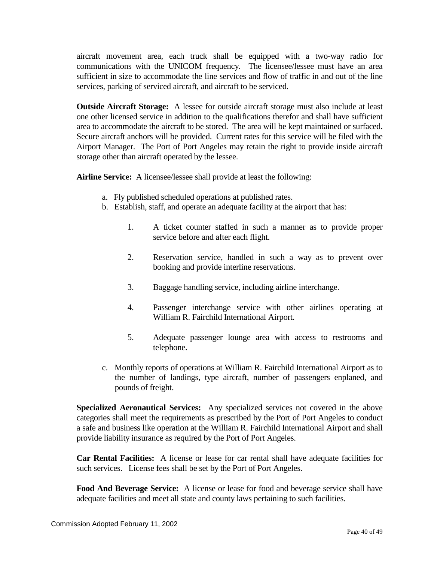aircraft movement area, each truck shall be equipped with a two-way radio for communications with the UNICOM frequency. The licensee/lessee must have an area sufficient in size to accommodate the line services and flow of traffic in and out of the line services, parking of serviced aircraft, and aircraft to be serviced.

**Outside Aircraft Storage:** A lessee for outside aircraft storage must also include at least one other licensed service in addition to the qualifications therefor and shall have sufficient area to accommodate the aircraft to be stored. The area will be kept maintained or surfaced. Secure aircraft anchors will be provided. Current rates for this service will be filed with the Airport Manager. The Port of Port Angeles may retain the right to provide inside aircraft storage other than aircraft operated by the lessee.

**Airline Service:** A licensee/lessee shall provide at least the following:

- a. Fly published scheduled operations at published rates.
- b. Establish, staff, and operate an adequate facility at the airport that has:
	- 1. A ticket counter staffed in such a manner as to provide proper service before and after each flight.
	- 2. Reservation service, handled in such a way as to prevent over booking and provide interline reservations.
	- 3. Baggage handling service, including airline interchange.
	- 4. Passenger interchange service with other airlines operating at William R. Fairchild International Airport.
	- 5. Adequate passenger lounge area with access to restrooms and telephone.
- c. Monthly reports of operations at William R. Fairchild International Airport as to the number of landings, type aircraft, number of passengers enplaned, and pounds of freight.

**Specialized Aeronautical Services:** Any specialized services not covered in the above categories shall meet the requirements as prescribed by the Port of Port Angeles to conduct a safe and business like operation at the William R. Fairchild International Airport and shall provide liability insurance as required by the Port of Port Angeles.

**Car Rental Facilities:** A license or lease for car rental shall have adequate facilities for such services. License fees shall be set by the Port of Port Angeles.

**Food And Beverage Service:** A license or lease for food and beverage service shall have adequate facilities and meet all state and county laws pertaining to such facilities.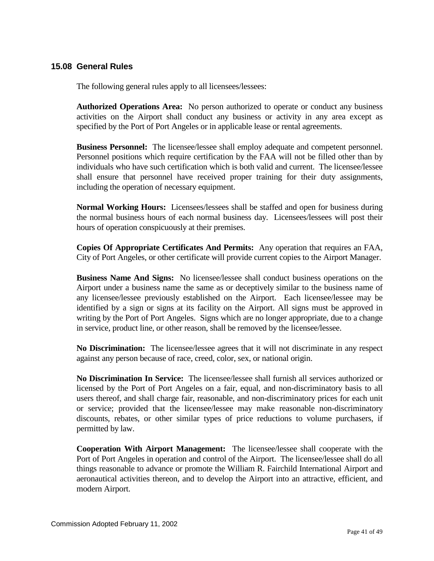## <span id="page-40-0"></span>**15.08 General Rules**

The following general rules apply to all licensees/lessees:

**Authorized Operations Area:** No person authorized to operate or conduct any business activities on the Airport shall conduct any business or activity in any area except as specified by the Port of Port Angeles or in applicable lease or rental agreements.

**Business Personnel:** The licensee/lessee shall employ adequate and competent personnel. Personnel positions which require certification by the FAA will not be filled other than by individuals who have such certification which is both valid and current. The licensee/lessee shall ensure that personnel have received proper training for their duty assignments, including the operation of necessary equipment.

**Normal Working Hours:** Licensees/lessees shall be staffed and open for business during the normal business hours of each normal business day. Licensees/lessees will post their hours of operation conspicuously at their premises.

**Copies Of Appropriate Certificates And Permits:** Any operation that requires an FAA, City of Port Angeles, or other certificate will provide current copies to the Airport Manager.

**Business Name And Signs:** No licensee/lessee shall conduct business operations on the Airport under a business name the same as or deceptively similar to the business name of any licensee/lessee previously established on the Airport. Each licensee/lessee may be identified by a sign or signs at its facility on the Airport. All signs must be approved in writing by the Port of Port Angeles. Signs which are no longer appropriate, due to a change in service, product line, or other reason, shall be removed by the licensee/lessee.

**No Discrimination:** The licensee/lessee agrees that it will not discriminate in any respect against any person because of race, creed, color, sex, or national origin.

**No Discrimination In Service:** The licensee/lessee shall furnish all services authorized or licensed by the Port of Port Angeles on a fair, equal, and non-discriminatory basis to all users thereof, and shall charge fair, reasonable, and non-discriminatory prices for each unit or service; provided that the licensee/lessee may make reasonable non-discriminatory discounts, rebates, or other similar types of price reductions to volume purchasers, if permitted by law.

**Cooperation With Airport Management:** The licensee/lessee shall cooperate with the Port of Port Angeles in operation and control of the Airport. The licensee/lessee shall do all things reasonable to advance or promote the William R. Fairchild International Airport and aeronautical activities thereon, and to develop the Airport into an attractive, efficient, and modern Airport.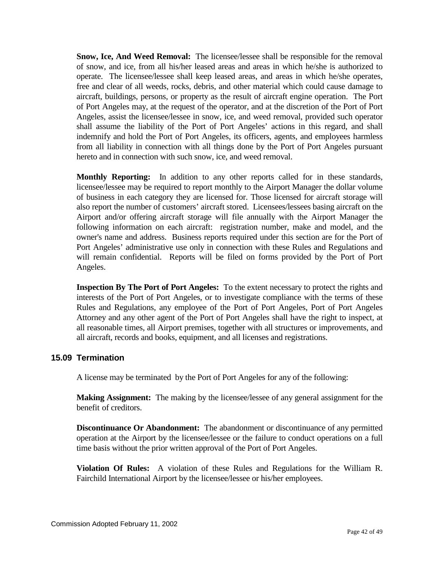**Snow, Ice, And Weed Removal:** The licensee/lessee shall be responsible for the removal of snow, and ice, from all his/her leased areas and areas in which he/she is authorized to operate. The licensee/lessee shall keep leased areas, and areas in which he/she operates, free and clear of all weeds, rocks, debris, and other material which could cause damage to aircraft, buildings, persons, or property as the result of aircraft engine operation. The Port of Port Angeles may, at the request of the operator, and at the discretion of the Port of Port Angeles, assist the licensee/lessee in snow, ice, and weed removal, provided such operator shall assume the liability of the Port of Port Angeles' actions in this regard, and shall indemnify and hold the Port of Port Angeles, its officers, agents, and employees harmless from all liability in connection with all things done by the Port of Port Angeles pursuant hereto and in connection with such snow, ice, and weed removal.

**Monthly Reporting:** In addition to any other reports called for in these standards, licensee/lessee may be required to report monthly to the Airport Manager the dollar volume of business in each category they are licensed for. Those licensed for aircraft storage will also report the number of customers' aircraft stored. Licensees/lessees basing aircraft on the Airport and/or offering aircraft storage will file annually with the Airport Manager the following information on each aircraft: registration number, make and model, and the owner's name and address. Business reports required under this section are for the Port of Port Angeles' administrative use only in connection with these Rules and Regulations and will remain confidential. Reports will be filed on forms provided by the Port of Port Angeles.

**Inspection By The Port of Port Angeles:** To the extent necessary to protect the rights and interests of the Port of Port Angeles, or to investigate compliance with the terms of these Rules and Regulations, any employee of the Port of Port Angeles, Port of Port Angeles Attorney and any other agent of the Port of Port Angeles shall have the right to inspect, at all reasonable times, all Airport premises, together with all structures or improvements, and all aircraft, records and books, equipment, and all licenses and registrations.

#### <span id="page-41-0"></span>**15.09 Termination**

A license may be terminated by the Port of Port Angeles for any of the following:

**Making Assignment:** The making by the licensee/lessee of any general assignment for the benefit of creditors.

**Discontinuance Or Abandonment:** The abandonment or discontinuance of any permitted operation at the Airport by the licensee/lessee or the failure to conduct operations on a full time basis without the prior written approval of the Port of Port Angeles.

**Violation Of Rules:** A violation of these Rules and Regulations for the William R. Fairchild International Airport by the licensee/lessee or his/her employees.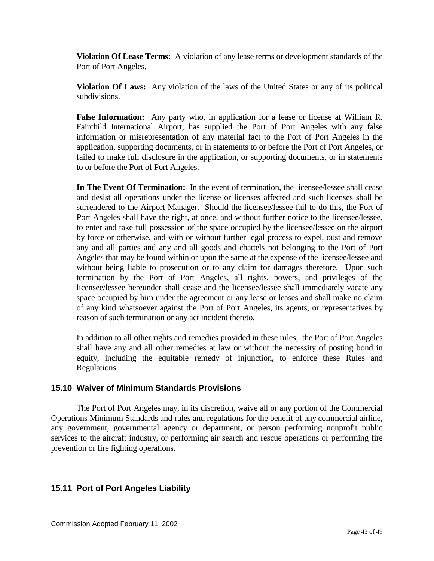**Violation Of Lease Terms:** A violation of any lease terms or development standards of the Port of Port Angeles.

**Violation Of Laws:** Any violation of the laws of the United States or any of its political subdivisions.

**False Information:** Any party who, in application for a lease or license at William R. Fairchild International Airport, has supplied the Port of Port Angeles with any false information or misrepresentation of any material fact to the Port of Port Angeles in the application, supporting documents, or in statements to or before the Port of Port Angeles, or failed to make full disclosure in the application, or supporting documents, or in statements to or before the Port of Port Angeles.

**In The Event Of Termination:** In the event of termination, the licensee/lessee shall cease and desist all operations under the license or licenses affected and such licenses shall be surrendered to the Airport Manager. Should the licensee/lessee fail to do this, the Port of Port Angeles shall have the right, at once, and without further notice to the licensee/lessee, to enter and take full possession of the space occupied by the licensee/lessee on the airport by force or otherwise, and with or without further legal process to expel, oust and remove any and all parties and any and all goods and chattels not belonging to the Port of Port Angeles that may be found within or upon the same at the expense of the licensee/lessee and without being liable to prosecution or to any claim for damages therefore. Upon such termination by the Port of Port Angeles, all rights, powers, and privileges of the licensee/lessee hereunder shall cease and the licensee/lessee shall immediately vacate any space occupied by him under the agreement or any lease or leases and shall make no claim of any kind whatsoever against the Port of Port Angeles, its agents, or representatives by reason of such termination or any act incident thereto.

In addition to all other rights and remedies provided in these rules, the Port of Port Angeles shall have any and all other remedies at law or without the necessity of posting bond in equity, including the equitable remedy of injunction, to enforce these Rules and Regulations.

## <span id="page-42-0"></span>**15.10 Waiver of Minimum Standards Provisions**

The Port of Port Angeles may, in its discretion, waive all or any portion of the Commercial Operations Minimum Standards and rules and regulations for the benefit of any commercial airline, any government, governmental agency or department, or person performing nonprofit public services to the aircraft industry, or performing air search and rescue operations or performing fire prevention or fire fighting operations.

## <span id="page-42-1"></span>**15.11 Port of Port Angeles Liability**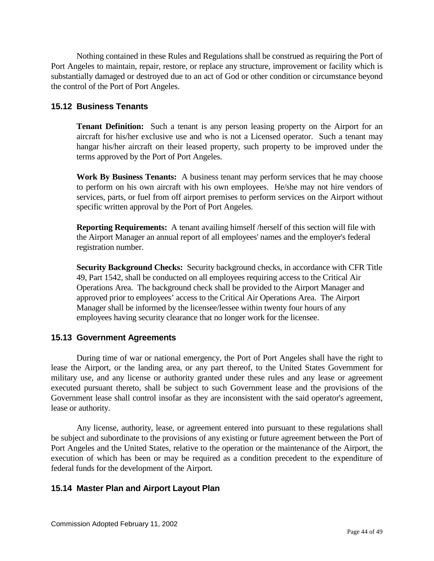Nothing contained in these Rules and Regulations shall be construed as requiring the Port of Port Angeles to maintain, repair, restore, or replace any structure, improvement or facility which is substantially damaged or destroyed due to an act of God or other condition or circumstance beyond the control of the Port of Port Angeles.

## <span id="page-43-0"></span>**15.12 Business Tenants**

**Tenant Definition:** Such a tenant is any person leasing property on the Airport for an aircraft for his/her exclusive use and who is not a Licensed operator. Such a tenant may hangar his/her aircraft on their leased property, such property to be improved under the terms approved by the Port of Port Angeles.

**Work By Business Tenants:** A business tenant may perform services that he may choose to perform on his own aircraft with his own employees. He/she may not hire vendors of services, parts, or fuel from off airport premises to perform services on the Airport without specific written approval by the Port of Port Angeles.

**Reporting Requirements:** A tenant availing himself /herself of this section will file with the Airport Manager an annual report of all employees' names and the employer's federal registration number.

**Security Background Checks:** Security background checks, in accordance with CFR Title 49, Part 1542, shall be conducted on all employees requiring access to the Critical Air Operations Area. The background check shall be provided to the Airport Manager and approved prior to employees' access to the Critical Air Operations Area. The Airport Manager shall be informed by the licensee/lessee within twenty four hours of any employees having security clearance that no longer work for the licensee.

#### <span id="page-43-1"></span>**15.13 Government Agreements**

During time of war or national emergency, the Port of Port Angeles shall have the right to lease the Airport, or the landing area, or any part thereof, to the United States Government for military use, and any license or authority granted under these rules and any lease or agreement executed pursuant thereto, shall be subject to such Government lease and the provisions of the Government lease shall control insofar as they are inconsistent with the said operator's agreement, lease or authority.

Any license, authority, lease, or agreement entered into pursuant to these regulations shall be subject and subordinate to the provisions of any existing or future agreement between the Port of Port Angeles and the United States, relative to the operation or the maintenance of the Airport, the execution of which has been or may be required as a condition precedent to the expenditure of federal funds for the development of the Airport.

## <span id="page-43-2"></span>**15.14 Master Plan and Airport Layout Plan**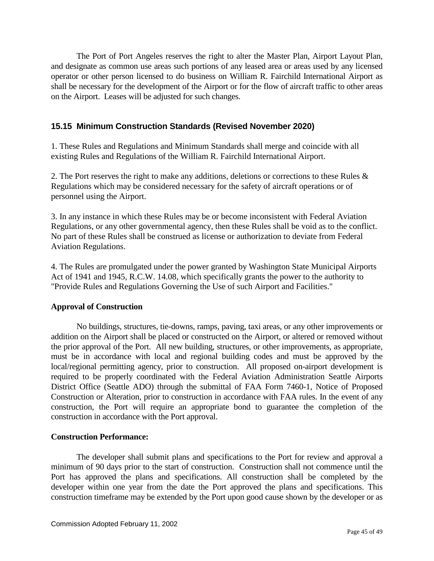The Port of Port Angeles reserves the right to alter the Master Plan, Airport Layout Plan, and designate as common use areas such portions of any leased area or areas used by any licensed operator or other person licensed to do business on William R. Fairchild International Airport as shall be necessary for the development of the Airport or for the flow of aircraft traffic to other areas on the Airport. Leases will be adjusted for such changes.

## **15.15 Minimum Construction Standards (Revised November 2020)**

1. These Rules and Regulations and Minimum Standards shall merge and coincide with all existing Rules and Regulations of the William R. Fairchild International Airport.

2. The Port reserves the right to make any additions, deletions or corrections to these Rules & Regulations which may be considered necessary for the safety of aircraft operations or of personnel using the Airport.

3. In any instance in which these Rules may be or become inconsistent with Federal Aviation Regulations, or any other governmental agency, then these Rules shall be void as to the conflict. No part of these Rules shall be construed as license or authorization to deviate from Federal Aviation Regulations.

4. The Rules are promulgated under the power granted by Washington State Municipal Airports Act of 1941 and 1945, R.C.W. 14.08, which specifically grants the power to the authority to "Provide Rules and Regulations Governing the Use of such Airport and Facilities."

#### **Approval of Construction**

No buildings, structures, tie-downs, ramps, paving, taxi areas, or any other improvements or addition on the Airport shall be placed or constructed on the Airport, or altered or removed without the prior approval of the Port. All new building, structures, or other improvements, as appropriate, must be in accordance with local and regional building codes and must be approved by the local/regional permitting agency, prior to construction. All proposed on-airport development is required to be properly coordinated with the Federal Aviation Administration Seattle Airports District Office (Seattle ADO) through the submittal of FAA Form 7460-1, Notice of Proposed Construction or Alteration, prior to construction in accordance with FAA rules. In the event of any construction, the Port will require an appropriate bond to guarantee the completion of the construction in accordance with the Port approval.

#### **Construction Performance:**

The developer shall submit plans and specifications to the Port for review and approval a minimum of 90 days prior to the start of construction. Construction shall not commence until the Port has approved the plans and specifications. All construction shall be completed by the developer within one year from the date the Port approved the plans and specifications. This construction timeframe may be extended by the Port upon good cause shown by the developer or as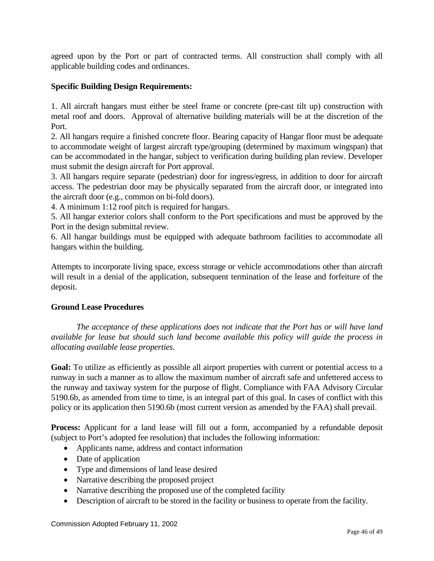agreed upon by the Port or part of contracted terms. All construction shall comply with all applicable building codes and ordinances.

## **Specific Building Design Requirements:**

1. All aircraft hangars must either be steel frame or concrete (pre-cast tilt up) construction with metal roof and doors. Approval of alternative building materials will be at the discretion of the Port.

2. All hangars require a finished concrete floor. Bearing capacity of Hangar floor must be adequate to accommodate weight of largest aircraft type/grouping (determined by maximum wingspan) that can be accommodated in the hangar, subject to verification during building plan review. Developer must submit the design aircraft for Port approval.

3. All hangars require separate (pedestrian) door for ingress/egress, in addition to door for aircraft access. The pedestrian door may be physically separated from the aircraft door, or integrated into the aircraft door (e.g., common on bi-fold doors).

4. A minimum 1:12 roof pitch is required for hangars.

5. All hangar exterior colors shall conform to the Port specifications and must be approved by the Port in the design submittal review.

6. All hangar buildings must be equipped with adequate bathroom facilities to accommodate all hangars within the building.

Attempts to incorporate living space, excess storage or vehicle accommodations other than aircraft will result in a denial of the application, subsequent termination of the lease and forfeiture of the deposit.

#### **Ground Lease Procedures**

*The acceptance of these applications does not indicate that the Port has or will have land available for lease but should such land become available this policy will guide the process in allocating available lease properties.* 

**Goal:** To utilize as efficiently as possible all airport properties with current or potential access to a runway in such a manner as to allow the maximum number of aircraft safe and unfettered access to the runway and taxiway system for the purpose of flight. Compliance with FAA Advisory Circular 5190.6b, as amended from time to time, is an integral part of this goal. In cases of conflict with this policy or its application then 5190.6b (most current version as amended by the FAA) shall prevail.

**Process:** Applicant for a land lease will fill out a form, accompanied by a refundable deposit (subject to Port's adopted fee resolution) that includes the following information:

- Applicants name, address and contact information
- Date of application
- Type and dimensions of land lease desired
- Narrative describing the proposed project
- Narrative describing the proposed use of the completed facility
- Description of aircraft to be stored in the facility or business to operate from the facility.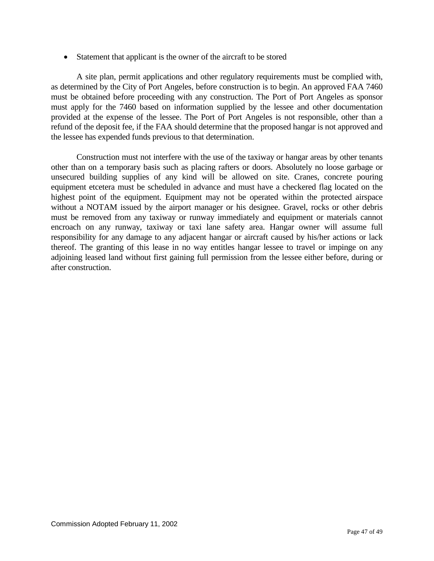• Statement that applicant is the owner of the aircraft to be stored

A site plan, permit applications and other regulatory requirements must be complied with, as determined by the City of Port Angeles, before construction is to begin. An approved FAA 7460 must be obtained before proceeding with any construction. The Port of Port Angeles as sponsor must apply for the 7460 based on information supplied by the lessee and other documentation provided at the expense of the lessee. The Port of Port Angeles is not responsible, other than a refund of the deposit fee, if the FAA should determine that the proposed hangar is not approved and the lessee has expended funds previous to that determination.

Construction must not interfere with the use of the taxiway or hangar areas by other tenants other than on a temporary basis such as placing rafters or doors. Absolutely no loose garbage or unsecured building supplies of any kind will be allowed on site. Cranes, concrete pouring equipment etcetera must be scheduled in advance and must have a checkered flag located on the highest point of the equipment. Equipment may not be operated within the protected airspace without a NOTAM issued by the airport manager or his designee. Gravel, rocks or other debris must be removed from any taxiway or runway immediately and equipment or materials cannot encroach on any runway, taxiway or taxi lane safety area. Hangar owner will assume full responsibility for any damage to any adjacent hangar or aircraft caused by his/her actions or lack thereof. The granting of this lease in no way entitles hangar lessee to travel or impinge on any adjoining leased land without first gaining full permission from the lessee either before, during or after construction.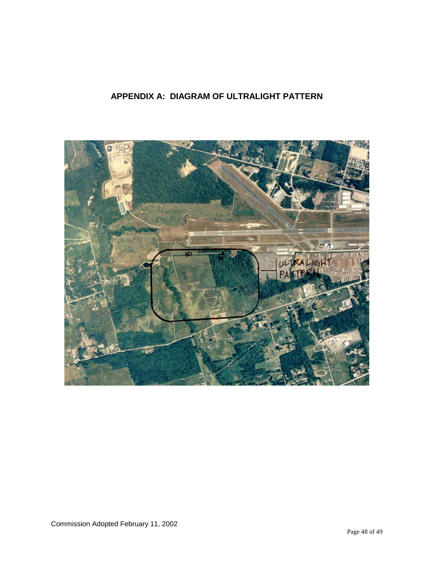## <span id="page-47-0"></span>**APPENDIX A: DIAGRAM OF ULTRALIGHT PATTERN**